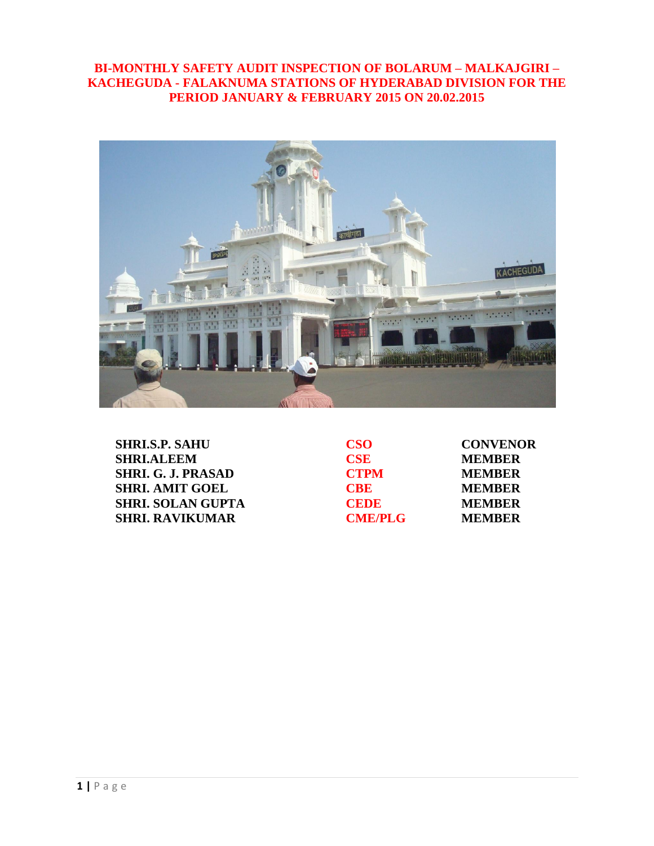## **BI-MONTHLY SAFETY AUDIT INSPECTION OF BOLARUM – MALKAJGIRI – KACHEGUDA - FALAKNUMA STATIONS OF HYDERABAD DIVISION FOR THE PERIOD JANUARY & FEBRUARY 2015 ON 20.02.2015**



| <b>SHRI.S.P. SAHU</b>     | CSO <sub>2</sub> | <b>CONVENOR</b> |
|---------------------------|------------------|-----------------|
| <b>SHRI.ALEEM</b>         | <b>CSE</b>       | <b>MEMBER</b>   |
| <b>SHRI. G. J. PRASAD</b> | <b>CTPM</b>      | <b>MEMBER</b>   |
| <b>SHRI. AMIT GOEL</b>    | <b>CRE</b>       | <b>MEMBER</b>   |
| <b>SHRI. SOLAN GUPTA</b>  | <b>CEDE</b>      | <b>MEMBER</b>   |
| <b>SHRI. RAVIKUMAR</b>    | <b>CME/PLG</b>   | <b>MEMBER</b>   |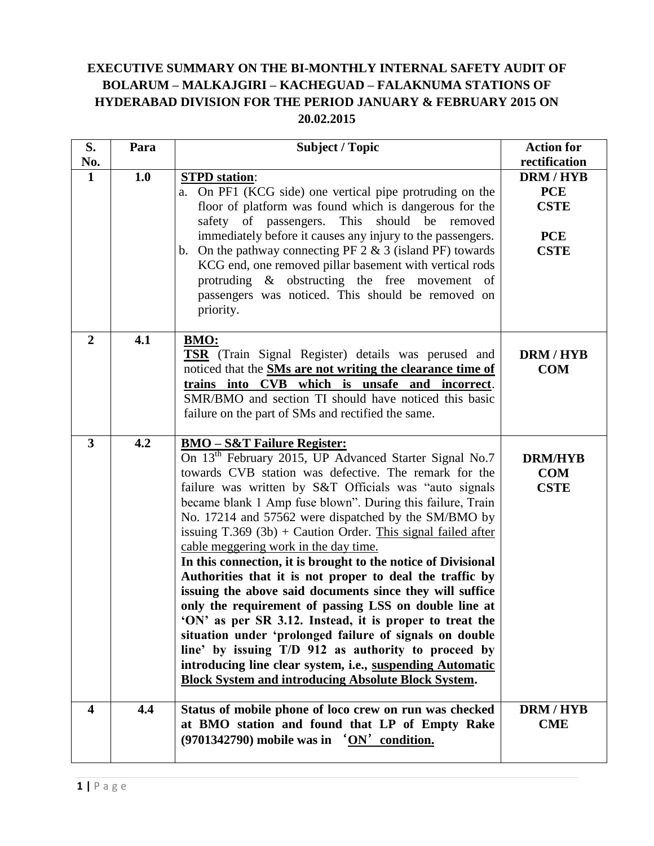# **EXECUTIVE SUMMARY ON THE BI-MONTHLY INTERNAL SAFETY AUDIT OF BOLARUM – MALKAJGIRI – KACHEGUAD – FALAKNUMA STATIONS OF HYDERABAD DIVISION FOR THE PERIOD JANUARY & FEBRUARY 2015 ON 20.02.2015**

| S.                      | Para | <b>Subject / Topic</b>                                                                                                                                                                                                                                                                                                                                                                                                                                                                                                                                                                                                                                                                                                                                                                                                                                                                                                                                                                                                    | <b>Action for</b>                                                                         |
|-------------------------|------|---------------------------------------------------------------------------------------------------------------------------------------------------------------------------------------------------------------------------------------------------------------------------------------------------------------------------------------------------------------------------------------------------------------------------------------------------------------------------------------------------------------------------------------------------------------------------------------------------------------------------------------------------------------------------------------------------------------------------------------------------------------------------------------------------------------------------------------------------------------------------------------------------------------------------------------------------------------------------------------------------------------------------|-------------------------------------------------------------------------------------------|
| No.<br>$\mathbf{1}$     | 1.0  | <b>STPD</b> station:<br>a. On PF1 (KCG side) one vertical pipe protruding on the<br>floor of platform was found which is dangerous for the<br>safety of passengers. This<br>should be removed<br>immediately before it causes any injury to the passengers.<br>b. On the pathway connecting PF $2 \& 3$ (island PF) towards<br>KCG end, one removed pillar basement with vertical rods<br>protruding & obstructing the free movement of<br>passengers was noticed. This should be removed on<br>priority.                                                                                                                                                                                                                                                                                                                                                                                                                                                                                                                 | rectification<br><b>DRM/HYB</b><br><b>PCE</b><br><b>CSTE</b><br><b>PCE</b><br><b>CSTE</b> |
| $\overline{2}$          | 4.1  | <b>BMO:</b><br><b>TSR</b> (Train Signal Register) details was perused and<br>noticed that the <b>SMs</b> are not writing the clearance time of<br>trains into CVB which is unsafe and incorrect.<br>SMR/BMO and section TI should have noticed this basic<br>failure on the part of SMs and rectified the same.                                                                                                                                                                                                                                                                                                                                                                                                                                                                                                                                                                                                                                                                                                           | <b>DRM/HYB</b><br><b>COM</b>                                                              |
| $\overline{3}$          | 4.2  | <b>BMO-S&amp;T Failure Register:</b><br>On 13 <sup>th</sup> February 2015, UP Advanced Starter Signal No.7<br>towards CVB station was defective. The remark for the<br>failure was written by S&T Officials was "auto signals"<br>became blank 1 Amp fuse blown". During this failure, Train<br>No. 17214 and 57562 were dispatched by the SM/BMO by<br>issuing $T.369$ (3b) + Caution Order. This signal failed after<br>cable meggering work in the day time.<br>In this connection, it is brought to the notice of Divisional<br>Authorities that it is not proper to deal the traffic by<br>issuing the above said documents since they will suffice<br>only the requirement of passing LSS on double line at<br>'ON' as per SR 3.12. Instead, it is proper to treat the<br>situation under 'prolonged failure of signals on double<br>line' by issuing T/D 912 as authority to proceed by<br>introducing line clear system, i.e., suspending Automatic<br><b>Block System and introducing Absolute Block System.</b> | <b>DRM/HYB</b><br><b>COM</b><br><b>CSTE</b>                                               |
| $\overline{\mathbf{4}}$ | 4.4  | Status of mobile phone of loco crew on run was checked<br>at BMO station and found that LP of Empty Rake<br>$(9701342790)$ mobile was in $'ON'$ condition.                                                                                                                                                                                                                                                                                                                                                                                                                                                                                                                                                                                                                                                                                                                                                                                                                                                                | DRM / HYB<br><b>CME</b>                                                                   |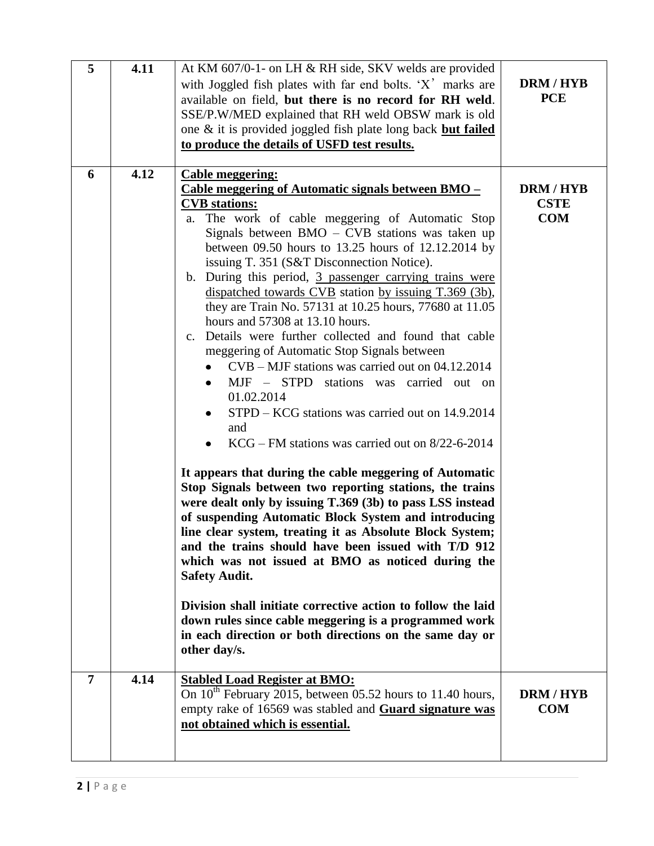| 5 | 4.11 | At KM 607/0-1- on LH & RH side, SKV welds are provided<br>with Joggled fish plates with far end bolts. 'X' marks are<br>available on field, but there is no record for RH weld.<br>SSE/P.W/MED explained that RH weld OBSW mark is old<br>one & it is provided joggled fish plate long back but failed<br>to produce the details of USFD test results.                                                                                                                                                                                                                                                                                                                                                                                                                                                                                                                                                                                                                                                                                                                                                                                                                                                                                                                                                                                                                                                                                                                                                                                      | <b>DRM/HYB</b><br><b>PCE</b>                |
|---|------|---------------------------------------------------------------------------------------------------------------------------------------------------------------------------------------------------------------------------------------------------------------------------------------------------------------------------------------------------------------------------------------------------------------------------------------------------------------------------------------------------------------------------------------------------------------------------------------------------------------------------------------------------------------------------------------------------------------------------------------------------------------------------------------------------------------------------------------------------------------------------------------------------------------------------------------------------------------------------------------------------------------------------------------------------------------------------------------------------------------------------------------------------------------------------------------------------------------------------------------------------------------------------------------------------------------------------------------------------------------------------------------------------------------------------------------------------------------------------------------------------------------------------------------------|---------------------------------------------|
| 6 | 4.12 | <b>Cable meggering:</b><br>Cable meggering of Automatic signals between BMO –<br><b>CVB</b> stations:<br>The work of cable meggering of Automatic Stop<br>a.<br>Signals between $BMO - CVB$ stations was taken up<br>between 09.50 hours to 13.25 hours of 12.12.2014 by<br>issuing T. 351 (S&T Disconnection Notice).<br>b. During this period, 3 passenger carrying trains were<br>dispatched towards CVB station by issuing T.369 (3b),<br>they are Train No. 57131 at 10.25 hours, 77680 at 11.05<br>hours and 57308 at 13.10 hours.<br>Details were further collected and found that cable<br>$c_{\cdot}$<br>meggering of Automatic Stop Signals between<br>$CVB - MJF$ stations was carried out on 04.12.2014<br>MJF - STPD stations was carried out on<br>01.02.2014<br>STPD – KCG stations was carried out on 14.9.2014<br>and<br>$KCG$ – FM stations was carried out on 8/22-6-2014<br>It appears that during the cable meggering of Automatic<br>Stop Signals between two reporting stations, the trains<br>were dealt only by issuing T.369 (3b) to pass LSS instead<br>of suspending Automatic Block System and introducing<br>line clear system, treating it as Absolute Block System;<br>and the trains should have been issued with T/D 912<br>which was not issued at BMO as noticed during the<br><b>Safety Audit.</b><br>Division shall initiate corrective action to follow the laid<br>down rules since cable meggering is a programmed work<br>in each direction or both directions on the same day or<br>other day/s. | <b>DRM/HYB</b><br><b>CSTE</b><br><b>COM</b> |
| 7 | 4.14 | <b>Stabled Load Register at BMO:</b><br>On $10^{th}$ February 2015, between 05.52 hours to 11.40 hours,<br>empty rake of 16569 was stabled and Guard signature was<br>not obtained which is essential.                                                                                                                                                                                                                                                                                                                                                                                                                                                                                                                                                                                                                                                                                                                                                                                                                                                                                                                                                                                                                                                                                                                                                                                                                                                                                                                                      | <b>DRM/HYB</b><br><b>COM</b>                |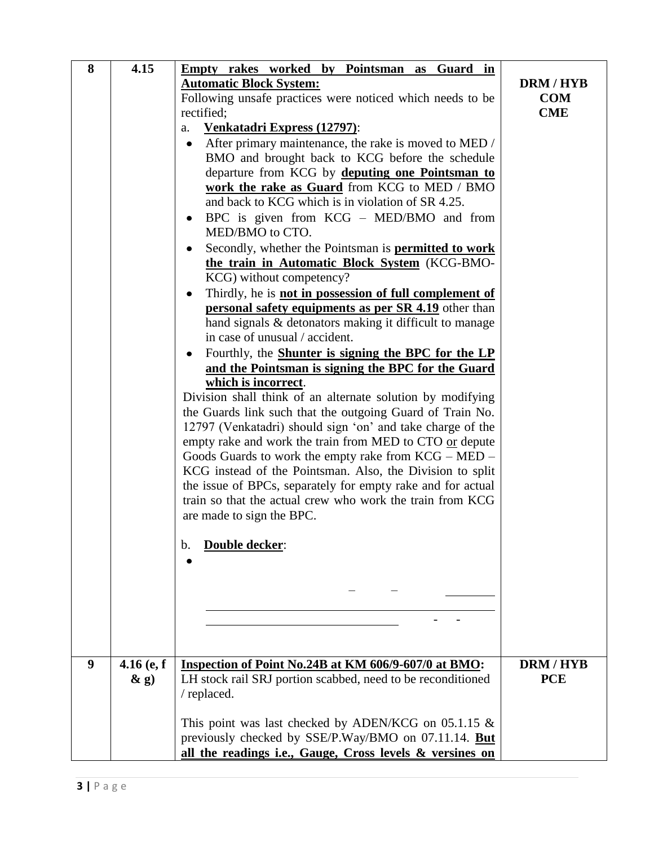| 8 | 4.15         | <b>Empty rakes worked by Pointsman as Guard in</b>                       |                  |
|---|--------------|--------------------------------------------------------------------------|------------------|
|   |              | <b>Automatic Block System:</b>                                           | <b>DRM/HYB</b>   |
|   |              | Following unsafe practices were noticed which needs to be                | <b>COM</b>       |
|   |              | rectified;                                                               | <b>CME</b>       |
|   |              | Venkatadri Express (12797):<br>a.                                        |                  |
|   |              | After primary maintenance, the rake is moved to MED /<br>$\bullet$       |                  |
|   |              | BMO and brought back to KCG before the schedule                          |                  |
|   |              | departure from KCG by deputing one Pointsman to                          |                  |
|   |              | work the rake as Guard from KCG to MED / BMO                             |                  |
|   |              | and back to KCG which is in violation of SR 4.25.                        |                  |
|   |              | BPC is given from KCG – MED/BMO and from<br>٠                            |                  |
|   |              | MED/BMO to CTO.                                                          |                  |
|   |              | Secondly, whether the Pointsman is <b>permitted to work</b><br>$\bullet$ |                  |
|   |              | the train in Automatic Block System (KCG-BMO-                            |                  |
|   |              | KCG) without competency?                                                 |                  |
|   |              | Thirdly, he is not in possession of full complement of<br>٠              |                  |
|   |              | <b>personal safety equipments as per SR 4.19</b> other than              |                  |
|   |              | hand signals & detonators making it difficult to manage                  |                  |
|   |              | in case of unusual / accident.                                           |                  |
|   |              | Fourthly, the <b>Shunter is signing the BPC for the LP</b><br>٠          |                  |
|   |              | and the Pointsman is signing the BPC for the Guard                       |                  |
|   |              | which is incorrect.                                                      |                  |
|   |              | Division shall think of an alternate solution by modifying               |                  |
|   |              | the Guards link such that the outgoing Guard of Train No.                |                  |
|   |              | 12797 (Venkatadri) should sign 'on' and take charge of the               |                  |
|   |              | empty rake and work the train from MED to CTO or depute                  |                  |
|   |              | Goods Guards to work the empty rake from $KCG - MED -$                   |                  |
|   |              | KCG instead of the Pointsman. Also, the Division to split                |                  |
|   |              | the issue of BPCs, separately for empty rake and for actual              |                  |
|   |              | train so that the actual crew who work the train from KCG                |                  |
|   |              | are made to sign the BPC.                                                |                  |
|   |              |                                                                          |                  |
|   |              | <b>Double decker:</b><br>b.                                              |                  |
|   |              |                                                                          |                  |
|   |              |                                                                          |                  |
|   |              |                                                                          |                  |
|   |              |                                                                          |                  |
|   |              |                                                                          |                  |
|   |              |                                                                          |                  |
|   |              |                                                                          |                  |
| 9 | $4.16$ (e, f | Inspection of Point No.24B at KM 606/9-607/0 at BMO:                     | <b>DRM / HYB</b> |
|   | $\&$ g)      | LH stock rail SRJ portion scabbed, need to be reconditioned              | <b>PCE</b>       |
|   |              | / replaced.                                                              |                  |
|   |              |                                                                          |                  |
|   |              | This point was last checked by ADEN/KCG on $05.1.15 \&$                  |                  |
|   |              | previously checked by SSE/P.Way/BMO on 07.11.14. But                     |                  |
|   |              | all the readings i.e., Gauge, Cross levels & versines on                 |                  |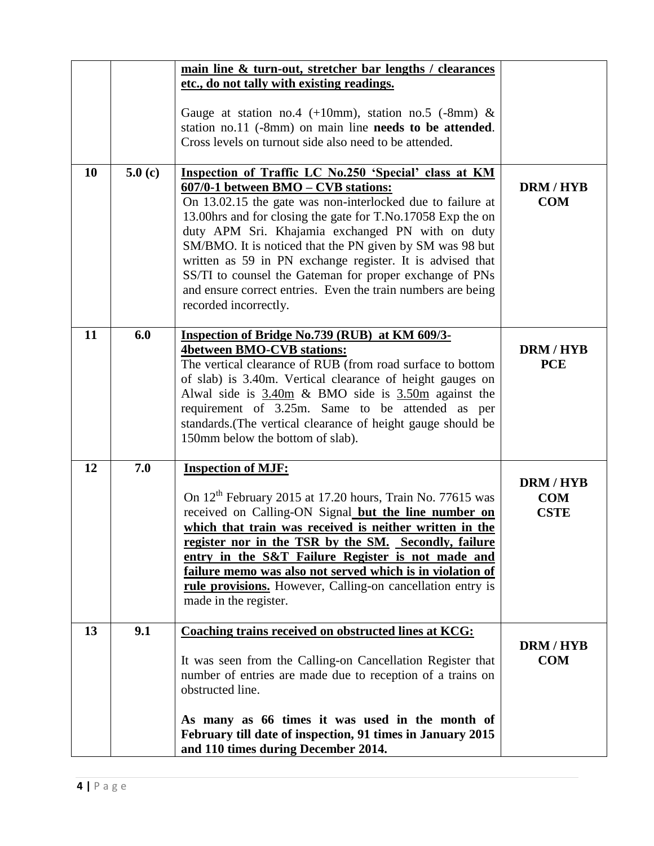|    |        | main line & turn-out, stretcher bar lengths / clearances<br>etc., do not tally with existing readings.<br>Gauge at station no.4 (+10mm), station no.5 (-8mm) $\&$<br>station no.11 (-8mm) on main line needs to be attended.<br>Cross levels on turnout side also need to be attended.                                                                                                                                                                                                                                                                     |                                             |
|----|--------|------------------------------------------------------------------------------------------------------------------------------------------------------------------------------------------------------------------------------------------------------------------------------------------------------------------------------------------------------------------------------------------------------------------------------------------------------------------------------------------------------------------------------------------------------------|---------------------------------------------|
| 10 | 5.0(c) | Inspection of Traffic LC No.250 'Special' class at KM<br>607/0-1 between BMO – CVB stations:<br>On 13.02.15 the gate was non-interlocked due to failure at<br>13.00hrs and for closing the gate for T.No.17058 Exp the on<br>duty APM Sri. Khajamia exchanged PN with on duty<br>SM/BMO. It is noticed that the PN given by SM was 98 but<br>written as 59 in PN exchange register. It is advised that<br>SS/TI to counsel the Gateman for proper exchange of PNs<br>and ensure correct entries. Even the train numbers are being<br>recorded incorrectly. | <b>DRM/HYB</b><br><b>COM</b>                |
| 11 | 6.0    | Inspection of Bridge No.739 (RUB) at KM 609/3-<br><b>4between BMO-CVB stations:</b><br>The vertical clearance of RUB (from road surface to bottom<br>of slab) is 3.40m. Vertical clearance of height gauges on<br>Alwal side is $3.40m \& BMO$ side is $3.50m$ against the<br>requirement of 3.25m. Same to be attended as per<br>standards. (The vertical clearance of height gauge should be<br>150mm below the bottom of slab).                                                                                                                         | <b>DRM/HYB</b><br><b>PCE</b>                |
| 12 | 7.0    | <b>Inspection of MJF:</b><br>On 12 <sup>th</sup> February 2015 at 17.20 hours, Train No. 77615 was<br>received on Calling-ON Signal but the line number on<br>which that train was received is neither written in the<br>register nor in the TSR by the SM. Secondly, failure<br>entry in the S&T Failure Register is not made and<br>failure memo was also not served which is in violation of<br>rule provisions. However, Calling-on cancellation entry is<br>made in the register.                                                                     | <b>DRM/HYB</b><br><b>COM</b><br><b>CSTE</b> |
| 13 | 9.1    | <b>Coaching trains received on obstructed lines at KCG:</b><br>It was seen from the Calling-on Cancellation Register that<br>number of entries are made due to reception of a trains on<br>obstructed line.<br>As many as 66 times it was used in the month of<br>February till date of inspection, 91 times in January 2015<br>and 110 times during December 2014.                                                                                                                                                                                        | <b>DRM/HYB</b><br><b>COM</b>                |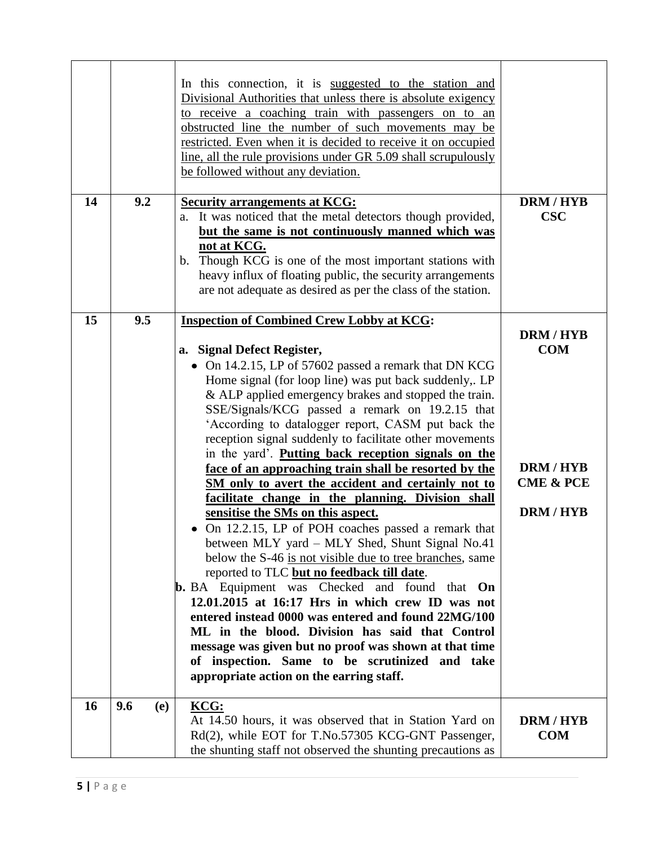|    |            | In this connection, it is suggested to the station and<br>Divisional Authorities that unless there is absolute exigency<br>to receive a coaching train with passengers on to an<br>obstructed line the number of such movements may be<br>restricted. Even when it is decided to receive it on occupied<br>line, all the rule provisions under GR 5.09 shall scrupulously<br>be followed without any deviation.                                                                                                                                                                                                                                                                                                                                                                                                                                                                                                                                                                                                                                                                                                                                                                                                                                                                                                  |                                                                                     |
|----|------------|------------------------------------------------------------------------------------------------------------------------------------------------------------------------------------------------------------------------------------------------------------------------------------------------------------------------------------------------------------------------------------------------------------------------------------------------------------------------------------------------------------------------------------------------------------------------------------------------------------------------------------------------------------------------------------------------------------------------------------------------------------------------------------------------------------------------------------------------------------------------------------------------------------------------------------------------------------------------------------------------------------------------------------------------------------------------------------------------------------------------------------------------------------------------------------------------------------------------------------------------------------------------------------------------------------------|-------------------------------------------------------------------------------------|
| 14 | 9.2        | <b>Security arrangements at KCG:</b><br>a. It was noticed that the metal detectors though provided,<br>but the same is not continuously manned which was<br>not at KCG.<br>Though KCG is one of the most important stations with<br>b.<br>heavy influx of floating public, the security arrangements<br>are not adequate as desired as per the class of the station.                                                                                                                                                                                                                                                                                                                                                                                                                                                                                                                                                                                                                                                                                                                                                                                                                                                                                                                                             | DRM / HYB<br><b>CSC</b>                                                             |
| 15 | 9.5        | <b>Inspection of Combined Crew Lobby at KCG:</b><br>a. Signal Defect Register,<br>• On 14.2.15, LP of 57602 passed a remark that DN KCG<br>Home signal (for loop line) was put back suddenly,. LP<br>& ALP applied emergency brakes and stopped the train.<br>SSE/Signals/KCG passed a remark on 19.2.15 that<br>'According to datalogger report, CASM put back the<br>reception signal suddenly to facilitate other movements<br>in the yard'. Putting back reception signals on the<br>face of an approaching train shall be resorted by the<br>SM only to avert the accident and certainly not to<br><u>facilitate change in the planning. Division shall</u><br>sensitise the SMs on this aspect.<br>On 12.2.15, LP of POH coaches passed a remark that<br>between MLY yard – MLY Shed, Shunt Signal No.41<br>below the S-46 is not visible due to tree branches, same<br>reported to TLC but no feedback till date.<br><b>b.</b> BA Equipment was Checked and found that <b>On</b><br>$12.01.2015$ at $16:17$ Hrs in which crew ID was not<br>entered instead 0000 was entered and found 22MG/100<br>ML in the blood. Division has said that Control<br>message was given but no proof was shown at that time<br>of inspection. Same to be scrutinized and take<br>appropriate action on the earring staff. | <b>DRM/HYB</b><br><b>COM</b><br>DRM / HYB<br><b>CME &amp; PCE</b><br><b>DRM/HYB</b> |
| 16 | 9.6<br>(e) | KCG:<br>At 14.50 hours, it was observed that in Station Yard on<br>Rd(2), while EOT for T.No.57305 KCG-GNT Passenger,<br>the shunting staff not observed the shunting precautions as                                                                                                                                                                                                                                                                                                                                                                                                                                                                                                                                                                                                                                                                                                                                                                                                                                                                                                                                                                                                                                                                                                                             | <b>DRM/HYB</b><br><b>COM</b>                                                        |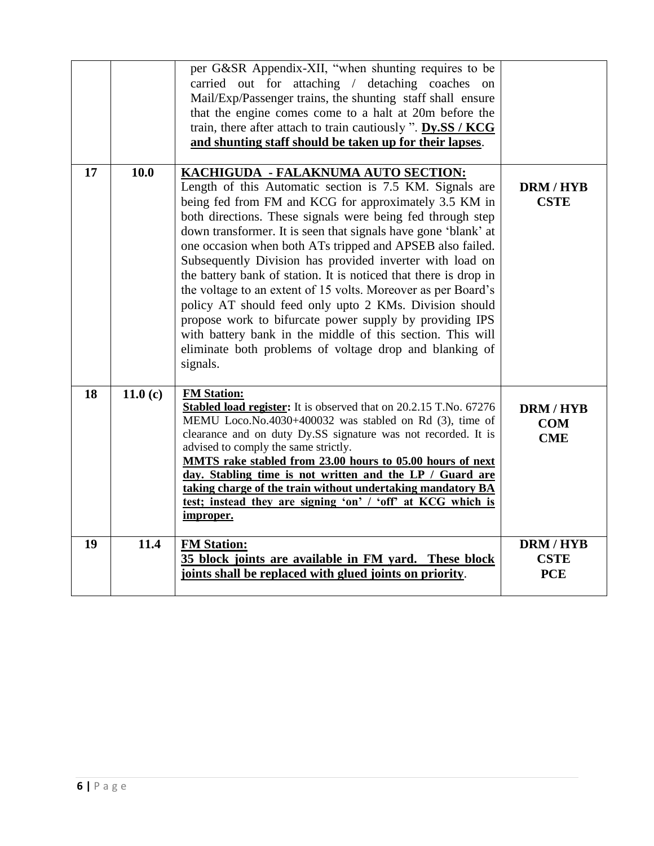|    |            | per G&SR Appendix-XII, "when shunting requires to be                                                                  |                |
|----|------------|-----------------------------------------------------------------------------------------------------------------------|----------------|
|    |            | carried out for attaching / detaching coaches on                                                                      |                |
|    |            | Mail/Exp/Passenger trains, the shunting staff shall ensure                                                            |                |
|    |            | that the engine comes come to a halt at 20m before the                                                                |                |
|    |            | train, there after attach to train cautiously ". Dy.SS / KCG                                                          |                |
|    |            | and shunting staff should be taken up for their lapses.                                                               |                |
| 17 | 10.0       | KACHIGUDA - FALAKNUMA AUTO SECTION:                                                                                   |                |
|    |            | Length of this Automatic section is 7.5 KM. Signals are                                                               | <b>DRM/HYB</b> |
|    |            | being fed from FM and KCG for approximately 3.5 KM in                                                                 | <b>CSTE</b>    |
|    |            | both directions. These signals were being fed through step                                                            |                |
|    |            | down transformer. It is seen that signals have gone 'blank' at                                                        |                |
|    |            | one occasion when both ATs tripped and APSEB also failed.                                                             |                |
|    |            | Subsequently Division has provided inverter with load on                                                              |                |
|    |            | the battery bank of station. It is noticed that there is drop in                                                      |                |
|    |            | the voltage to an extent of 15 volts. Moreover as per Board's                                                         |                |
|    |            | policy AT should feed only upto 2 KMs. Division should                                                                |                |
|    |            | propose work to bifurcate power supply by providing IPS<br>with battery bank in the middle of this section. This will |                |
|    |            | eliminate both problems of voltage drop and blanking of                                                               |                |
|    |            | signals.                                                                                                              |                |
|    |            |                                                                                                                       |                |
| 18 | 11.0 $(c)$ | <b>FM Station:</b>                                                                                                    |                |
|    |            | <b>Stabled load register:</b> It is observed that on 20.2.15 T.No. 67276                                              | <b>DRM/HYB</b> |
|    |            | MEMU Loco.No.4030+400032 was stabled on Rd (3), time of                                                               | <b>COM</b>     |
|    |            | clearance and on duty Dy.SS signature was not recorded. It is<br>advised to comply the same strictly.                 | <b>CME</b>     |
|    |            | MMTS rake stabled from 23.00 hours to 05.00 hours of next                                                             |                |
|    |            | day. Stabling time is not written and the LP / Guard are                                                              |                |
|    |            | taking charge of the train without undertaking mandatory BA                                                           |                |
|    |            | test; instead they are signing 'on' / 'off' at KCG which is                                                           |                |
|    |            | improper.                                                                                                             |                |
| 19 | 11.4       | <b>FM Station:</b>                                                                                                    | <b>DRM/HYB</b> |
|    |            | 35 block joints are available in FM yard. These block                                                                 | <b>CSTE</b>    |
|    |            | joints shall be replaced with glued joints on priority.                                                               | <b>PCE</b>     |
|    |            |                                                                                                                       |                |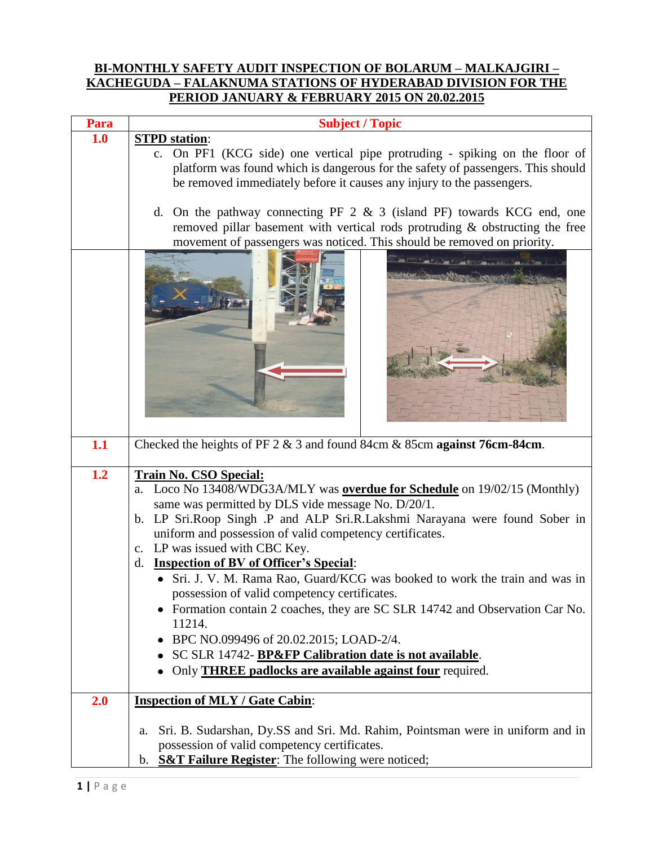## **BI-MONTHLY SAFETY AUDIT INSPECTION OF BOLARUM – MALKAJGIRI – KACHEGUDA – FALAKNUMA STATIONS OF HYDERABAD DIVISION FOR THE PERIOD JANUARY & FEBRUARY 2015 ON 20.02.2015**

| Para | <b>Subject / Topic</b>                                                                                                                                                                                                                                                                                                                                                                                                                                                                                                                                                                                                                                                                                                                                                                            |  |  |  |  |  |  |
|------|---------------------------------------------------------------------------------------------------------------------------------------------------------------------------------------------------------------------------------------------------------------------------------------------------------------------------------------------------------------------------------------------------------------------------------------------------------------------------------------------------------------------------------------------------------------------------------------------------------------------------------------------------------------------------------------------------------------------------------------------------------------------------------------------------|--|--|--|--|--|--|
| 1.0  | <b>STPD</b> station:                                                                                                                                                                                                                                                                                                                                                                                                                                                                                                                                                                                                                                                                                                                                                                              |  |  |  |  |  |  |
|      | c. On PF1 (KCG side) one vertical pipe protruding - spiking on the floor of<br>platform was found which is dangerous for the safety of passengers. This should                                                                                                                                                                                                                                                                                                                                                                                                                                                                                                                                                                                                                                    |  |  |  |  |  |  |
|      | be removed immediately before it causes any injury to the passengers.                                                                                                                                                                                                                                                                                                                                                                                                                                                                                                                                                                                                                                                                                                                             |  |  |  |  |  |  |
|      | d. On the pathway connecting PF $2 \& 3$ (island PF) towards KCG end, one<br>removed pillar basement with vertical rods protruding & obstructing the free                                                                                                                                                                                                                                                                                                                                                                                                                                                                                                                                                                                                                                         |  |  |  |  |  |  |
|      | movement of passengers was noticed. This should be removed on priority.                                                                                                                                                                                                                                                                                                                                                                                                                                                                                                                                                                                                                                                                                                                           |  |  |  |  |  |  |
|      |                                                                                                                                                                                                                                                                                                                                                                                                                                                                                                                                                                                                                                                                                                                                                                                                   |  |  |  |  |  |  |
| 1.1  | Checked the heights of PF $2 \& 3$ and found 84cm $\&$ 85cm against 76cm-84cm.                                                                                                                                                                                                                                                                                                                                                                                                                                                                                                                                                                                                                                                                                                                    |  |  |  |  |  |  |
| 1.2  | <b>Train No. CSO Special:</b><br>a. Loco No 13408/WDG3A/MLY was <b>overdue for Schedule</b> on 19/02/15 (Monthly)<br>same was permitted by DLS vide message No. D/20/1.<br>LP Sri.Roop Singh .P and ALP Sri.R.Lakshmi Narayana were found Sober in<br>b.<br>uniform and possession of valid competency certificates.<br>c. LP was issued with CBC Key.<br>d. Inspection of BV of Officer's Special:<br>• Sri. J. V. M. Rama Rao, Guard/KCG was booked to work the train and was in<br>possession of valid competency certificates.<br>Formation contain 2 coaches, they are SC SLR 14742 and Observation Car No.<br>11214.<br>BPC NO.099496 of 20.02.2015; LOAD-2/4.<br>SC SLR 14742- BP&FP Calibration date is not available.<br>Only <b>THREE</b> padlocks are available against four required. |  |  |  |  |  |  |
| 2.0  | <b>Inspection of MLY / Gate Cabin:</b>                                                                                                                                                                                                                                                                                                                                                                                                                                                                                                                                                                                                                                                                                                                                                            |  |  |  |  |  |  |
|      | Sri. B. Sudarshan, Dy.SS and Sri. Md. Rahim, Pointsman were in uniform and in<br>a.                                                                                                                                                                                                                                                                                                                                                                                                                                                                                                                                                                                                                                                                                                               |  |  |  |  |  |  |
|      | possession of valid competency certificates.                                                                                                                                                                                                                                                                                                                                                                                                                                                                                                                                                                                                                                                                                                                                                      |  |  |  |  |  |  |
|      | <b>S&amp;T Failure Register:</b> The following were noticed;<br>b.                                                                                                                                                                                                                                                                                                                                                                                                                                                                                                                                                                                                                                                                                                                                |  |  |  |  |  |  |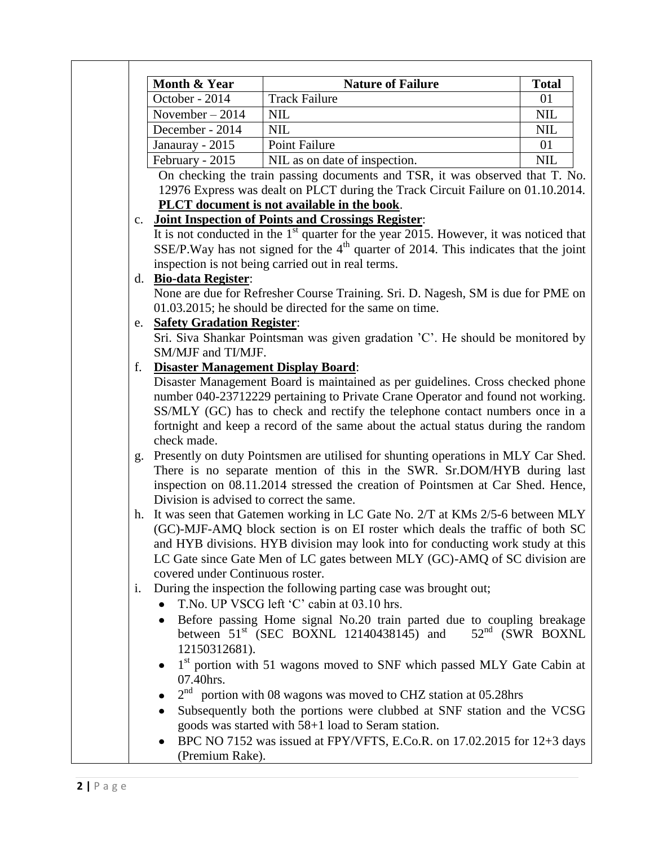|                | Month & Year                                                                      | <b>Nature of Failure</b>                                                                                                      | <b>Total</b> |  |  |  |  |
|----------------|-----------------------------------------------------------------------------------|-------------------------------------------------------------------------------------------------------------------------------|--------------|--|--|--|--|
|                | October - 2014                                                                    | <b>Track Failure</b>                                                                                                          | 01           |  |  |  |  |
|                | November $-2014$                                                                  | <b>NIL</b>                                                                                                                    | <b>NIL</b>   |  |  |  |  |
|                | December - 2014                                                                   | <b>NIL</b>                                                                                                                    | <b>NIL</b>   |  |  |  |  |
|                | Janauray - 2015                                                                   | Point Failure                                                                                                                 | 01           |  |  |  |  |
|                | February - 2015                                                                   | NIL as on date of inspection.                                                                                                 | <b>NIL</b>   |  |  |  |  |
|                |                                                                                   | On checking the train passing documents and TSR, it was observed that T. No.                                                  |              |  |  |  |  |
|                |                                                                                   | 12976 Express was dealt on PLCT during the Track Circuit Failure on 01.10.2014.                                               |              |  |  |  |  |
|                |                                                                                   | PLCT document is not available in the book.                                                                                   |              |  |  |  |  |
| $\mathbf{c}$ . |                                                                                   | <b>Joint Inspection of Points and Crossings Register:</b>                                                                     |              |  |  |  |  |
|                |                                                                                   | It is not conducted in the $1st$ quarter for the year 2015. However, it was noticed that                                      |              |  |  |  |  |
|                |                                                                                   | SSE/P. Way has not signed for the $4th$ quarter of 2014. This indicates that the joint                                        |              |  |  |  |  |
|                |                                                                                   | inspection is not being carried out in real terms.                                                                            |              |  |  |  |  |
| $d_{\cdot}$    | <b>Bio-data Register:</b>                                                         |                                                                                                                               |              |  |  |  |  |
|                |                                                                                   | None are due for Refresher Course Training. Sri. D. Nagesh, SM is due for PME on                                              |              |  |  |  |  |
|                |                                                                                   | 01.03.2015; he should be directed for the same on time.                                                                       |              |  |  |  |  |
| e.             | <b>Safety Gradation Register:</b>                                                 |                                                                                                                               |              |  |  |  |  |
|                |                                                                                   | Sri. Siva Shankar Pointsman was given gradation 'C'. He should be monitored by                                                |              |  |  |  |  |
|                | SM/MJF and TI/MJF.                                                                |                                                                                                                               |              |  |  |  |  |
| f.             | <b>Disaster Management Display Board:</b>                                         |                                                                                                                               |              |  |  |  |  |
|                | Disaster Management Board is maintained as per guidelines. Cross checked phone    |                                                                                                                               |              |  |  |  |  |
|                |                                                                                   | number 040-23712229 pertaining to Private Crane Operator and found not working.                                               |              |  |  |  |  |
|                |                                                                                   | SS/MLY (GC) has to check and rectify the telephone contact numbers once in a                                                  |              |  |  |  |  |
|                | fortnight and keep a record of the same about the actual status during the random |                                                                                                                               |              |  |  |  |  |
|                | check made.                                                                       |                                                                                                                               |              |  |  |  |  |
| g.             |                                                                                   | Presently on duty Pointsmen are utilised for shunting operations in MLY Car Shed.                                             |              |  |  |  |  |
|                |                                                                                   | There is no separate mention of this in the SWR. Sr.DOM/HYB during last                                                       |              |  |  |  |  |
|                |                                                                                   | inspection on 08.11.2014 stressed the creation of Pointsmen at Car Shed. Hence,                                               |              |  |  |  |  |
|                | Division is advised to correct the same.                                          |                                                                                                                               |              |  |  |  |  |
| h.             |                                                                                   | It was seen that Gatemen working in LC Gate No. 2/T at KMs 2/5-6 between MLY                                                  |              |  |  |  |  |
|                |                                                                                   | (GC)-MJF-AMQ block section is on EI roster which deals the traffic of both SC                                                 |              |  |  |  |  |
|                |                                                                                   | and HYB divisions. HYB division may look into for conducting work study at this                                               |              |  |  |  |  |
|                |                                                                                   | LC Gate since Gate Men of LC gates between MLY (GC)-AMQ of SC division are                                                    |              |  |  |  |  |
|                | covered under Continuous roster.                                                  |                                                                                                                               |              |  |  |  |  |
| 1.             |                                                                                   | During the inspection the following parting case was brought out;                                                             |              |  |  |  |  |
|                |                                                                                   | T.No. UP VSCG left 'C' cabin at 03.10 hrs.                                                                                    |              |  |  |  |  |
|                | $\bullet$                                                                         | Before passing Home signal No.20 train parted due to coupling breakage                                                        |              |  |  |  |  |
|                |                                                                                   | $52nd$ (SWR BOXNL<br>between $51st$ (SEC BOXNL 12140438145) and                                                               |              |  |  |  |  |
|                | 12150312681).                                                                     |                                                                                                                               |              |  |  |  |  |
|                |                                                                                   | 1 <sup>st</sup> portion with 51 wagons moved to SNF which passed MLY Gate Cabin at                                            |              |  |  |  |  |
|                | 07.40hrs.                                                                         |                                                                                                                               |              |  |  |  |  |
|                |                                                                                   | $2nd$ portion with 08 wagons was moved to CHZ station at 05.28hrs                                                             |              |  |  |  |  |
|                |                                                                                   | Subsequently both the portions were clubbed at SNF station and the VCSG                                                       |              |  |  |  |  |
|                |                                                                                   |                                                                                                                               |              |  |  |  |  |
|                |                                                                                   |                                                                                                                               |              |  |  |  |  |
|                |                                                                                   | goods was started with 58+1 load to Seram station.<br>BPC NO 7152 was issued at FPY/VFTS, E.Co.R. on 17.02.2015 for 12+3 days |              |  |  |  |  |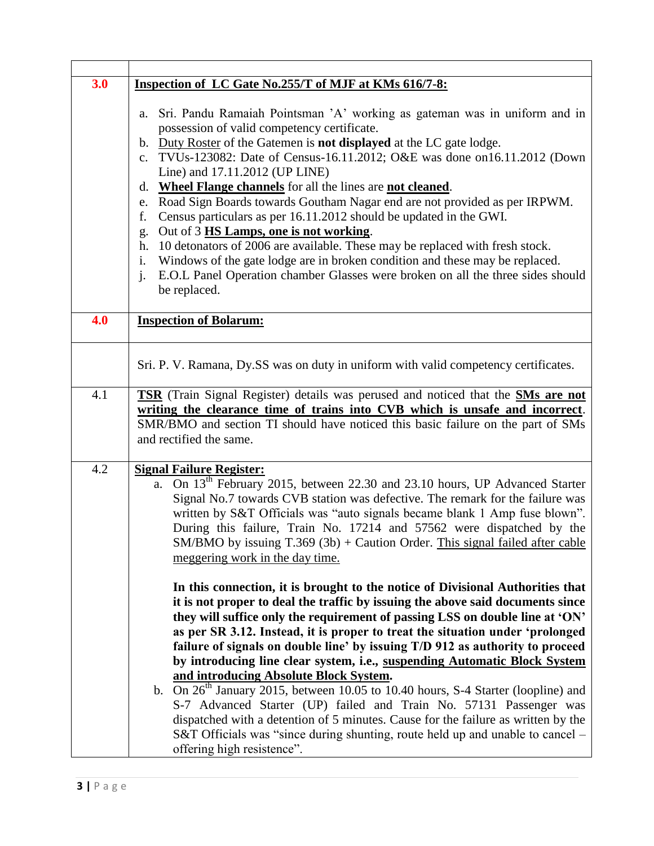| 3.0 | <b>Inspection of LC Gate No.255/T of MJF at KMs 616/7-8:</b>                                                                                                                                                                                                                                                                                                                                                                                                                                                                                                                                                                                                                                                                                                                                                                                                                                                                                  |
|-----|-----------------------------------------------------------------------------------------------------------------------------------------------------------------------------------------------------------------------------------------------------------------------------------------------------------------------------------------------------------------------------------------------------------------------------------------------------------------------------------------------------------------------------------------------------------------------------------------------------------------------------------------------------------------------------------------------------------------------------------------------------------------------------------------------------------------------------------------------------------------------------------------------------------------------------------------------|
|     | Sri. Pandu Ramaiah Pointsman 'A' working as gateman was in uniform and in<br>a.<br>possession of valid competency certificate.<br>Duty Roster of the Gatemen is <b>not displayed</b> at the LC gate lodge.<br>$\mathbf{b}$ .<br>TVUs-123082: Date of Census-16.11.2012; O&E was done on16.11.2012 (Down<br>$\mathbf{c}$ .<br>Line) and 17.11.2012 (UP LINE)<br>Wheel Flange channels for all the lines are not cleaned.<br>d.<br>Road Sign Boards towards Goutham Nagar end are not provided as per IRPWM.<br>e.<br>Census particulars as per 16.11.2012 should be updated in the GWI.<br>f.<br>Out of 3 HS Lamps, one is not working.<br>g.<br>10 detonators of 2006 are available. These may be replaced with fresh stock.<br>h.<br>Windows of the gate lodge are in broken condition and these may be replaced.<br>i.<br>E.O.L Panel Operation chamber Glasses were broken on all the three sides should<br>$\mathbf{i}$ .<br>be replaced. |
| 4.0 | <b>Inspection of Bolarum:</b>                                                                                                                                                                                                                                                                                                                                                                                                                                                                                                                                                                                                                                                                                                                                                                                                                                                                                                                 |
|     | Sri. P. V. Ramana, Dy.SS was on duty in uniform with valid competency certificates.                                                                                                                                                                                                                                                                                                                                                                                                                                                                                                                                                                                                                                                                                                                                                                                                                                                           |
| 4.1 | TSR (Train Signal Register) details was perused and noticed that the SMs are not<br>writing the clearance time of trains into CVB which is unsafe and incorrect.<br>SMR/BMO and section TI should have noticed this basic failure on the part of SMs<br>and rectified the same.                                                                                                                                                                                                                                                                                                                                                                                                                                                                                                                                                                                                                                                               |
| 4.2 | <b>Signal Failure Register:</b>                                                                                                                                                                                                                                                                                                                                                                                                                                                                                                                                                                                                                                                                                                                                                                                                                                                                                                               |
|     | $\overline{a}$ . On 13 <sup>th</sup> February 2015, between 22.30 and 23.10 hours, UP Advanced Starter<br>Signal No.7 towards CVB station was defective. The remark for the failure was<br>written by S&T Officials was "auto signals became blank 1 Amp fuse blown".<br>During this failure, Train No. 17214 and 57562 were dispatched by the<br>SM/BMO by issuing T.369 (3b) + Caution Order. This signal failed after cable<br>meggering work in the day time.                                                                                                                                                                                                                                                                                                                                                                                                                                                                             |
|     | In this connection, it is brought to the notice of Divisional Authorities that<br>it is not proper to deal the traffic by issuing the above said documents since<br>they will suffice only the requirement of passing LSS on double line at 'ON'<br>as per SR 3.12. Instead, it is proper to treat the situation under 'prolonged<br>failure of signals on double line' by issuing T/D 912 as authority to proceed<br>by introducing line clear system, i.e., suspending Automatic Block System<br>and introducing Absolute Block System.<br>b. $\overline{On 26}$ <sup>th</sup> January 2015, between 10.05 to 10.40 hours, S-4 Starter (loopline) and<br>S-7 Advanced Starter (UP) failed and Train No. 57131 Passenger was<br>dispatched with a detention of 5 minutes. Cause for the failure as written by the<br>S&T Officials was "since during shunting, route held up and unable to cancel –<br>offering high resistence".            |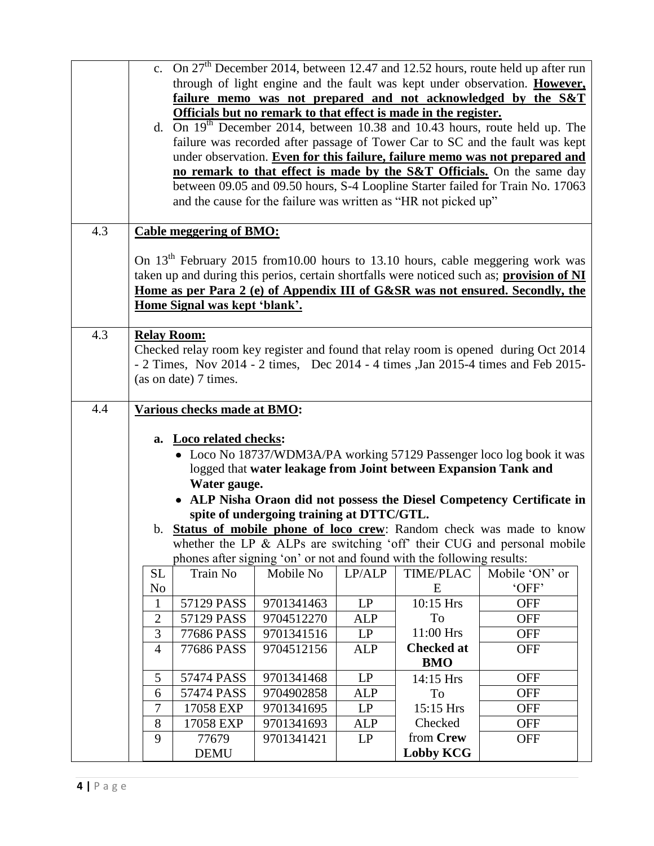|     |                                                                                                                                                                  |                                |                                           |                        |                                                                        | c. On 27 <sup>th</sup> December 2014, between 12.47 and 12.52 hours, route held up after run |  |  |  |
|-----|------------------------------------------------------------------------------------------------------------------------------------------------------------------|--------------------------------|-------------------------------------------|------------------------|------------------------------------------------------------------------|----------------------------------------------------------------------------------------------|--|--|--|
|     |                                                                                                                                                                  |                                |                                           |                        |                                                                        | through of light engine and the fault was kept under observation. However,                   |  |  |  |
|     |                                                                                                                                                                  |                                |                                           |                        |                                                                        |                                                                                              |  |  |  |
|     |                                                                                                                                                                  |                                |                                           |                        |                                                                        | failure memo was not prepared and not acknowledged by the S&T                                |  |  |  |
|     |                                                                                                                                                                  |                                |                                           |                        | Officials but no remark to that effect is made in the register.        |                                                                                              |  |  |  |
|     | d. On $19^{th}$ December 2014, between 10.38 and 10.43 hours, route held up. The<br>failure was recorded after passage of Tower Car to SC and the fault was kept |                                |                                           |                        |                                                                        |                                                                                              |  |  |  |
|     |                                                                                                                                                                  |                                |                                           |                        |                                                                        |                                                                                              |  |  |  |
|     | under observation. Even for this failure, failure memo was not prepared and                                                                                      |                                |                                           |                        |                                                                        |                                                                                              |  |  |  |
|     | no remark to that effect is made by the S&T Officials. On the same day                                                                                           |                                |                                           |                        |                                                                        |                                                                                              |  |  |  |
|     | between 09.05 and 09.50 hours, S-4 Loopline Starter failed for Train No. 17063                                                                                   |                                |                                           |                        |                                                                        |                                                                                              |  |  |  |
|     | and the cause for the failure was written as "HR not picked up"                                                                                                  |                                |                                           |                        |                                                                        |                                                                                              |  |  |  |
|     |                                                                                                                                                                  |                                |                                           |                        |                                                                        |                                                                                              |  |  |  |
| 4.3 |                                                                                                                                                                  | <b>Cable meggering of BMO:</b> |                                           |                        |                                                                        |                                                                                              |  |  |  |
|     |                                                                                                                                                                  |                                |                                           |                        |                                                                        |                                                                                              |  |  |  |
|     |                                                                                                                                                                  |                                |                                           |                        |                                                                        | On 13 <sup>th</sup> February 2015 from 10.00 hours to 13.10 hours, cable meggering work was  |  |  |  |
|     |                                                                                                                                                                  |                                |                                           |                        |                                                                        | taken up and during this perios, certain shortfalls were noticed such as; provision of NI    |  |  |  |
|     |                                                                                                                                                                  |                                |                                           |                        |                                                                        | Home as per Para 2 (e) of Appendix III of G&SR was not ensured. Secondly, the                |  |  |  |
|     |                                                                                                                                                                  | Home Signal was kept 'blank'.  |                                           |                        |                                                                        |                                                                                              |  |  |  |
|     |                                                                                                                                                                  |                                |                                           |                        |                                                                        |                                                                                              |  |  |  |
| 4.3 | <b>Relay Room:</b>                                                                                                                                               |                                |                                           |                        |                                                                        |                                                                                              |  |  |  |
|     |                                                                                                                                                                  |                                |                                           |                        |                                                                        | Checked relay room key register and found that relay room is opened during Oct 2014          |  |  |  |
|     |                                                                                                                                                                  |                                |                                           |                        |                                                                        | - 2 Times, Nov 2014 - 2 times, Dec 2014 - 4 times , Jan 2015-4 times and Feb 2015-           |  |  |  |
|     |                                                                                                                                                                  | (as on date) 7 times.          |                                           |                        |                                                                        |                                                                                              |  |  |  |
|     |                                                                                                                                                                  |                                |                                           |                        |                                                                        |                                                                                              |  |  |  |
| 4.4 |                                                                                                                                                                  | Various checks made at BMO:    |                                           |                        |                                                                        |                                                                                              |  |  |  |
|     |                                                                                                                                                                  |                                |                                           |                        |                                                                        |                                                                                              |  |  |  |
|     |                                                                                                                                                                  | a. Loco related checks:        |                                           |                        |                                                                        |                                                                                              |  |  |  |
|     |                                                                                                                                                                  |                                |                                           |                        |                                                                        | • Loco No 18737/WDM3A/PA working 57129 Passenger loco log book it was                        |  |  |  |
|     |                                                                                                                                                                  |                                |                                           |                        | logged that water leakage from Joint between Expansion Tank and        |                                                                                              |  |  |  |
|     |                                                                                                                                                                  | Water gauge.                   |                                           |                        |                                                                        |                                                                                              |  |  |  |
|     |                                                                                                                                                                  |                                |                                           |                        |                                                                        | • ALP Nisha Oraon did not possess the Diesel Competency Certificate in                       |  |  |  |
|     |                                                                                                                                                                  |                                | spite of undergoing training at DTTC/GTL. |                        |                                                                        |                                                                                              |  |  |  |
|     |                                                                                                                                                                  |                                |                                           |                        |                                                                        | b. <b>Status of mobile phone of loco crew</b> : Random check was made to know                |  |  |  |
|     |                                                                                                                                                                  |                                |                                           |                        |                                                                        | whether the LP & ALPs are switching 'off' their CUG and personal mobile                      |  |  |  |
|     |                                                                                                                                                                  |                                |                                           |                        | phones after signing 'on' or not and found with the following results: |                                                                                              |  |  |  |
|     | <b>SL</b>                                                                                                                                                        | Train No                       | Mobile No                                 | LP/ALP                 | <b>TIME/PLAC</b>                                                       | Mobile 'ON' or                                                                               |  |  |  |
|     | N <sub>o</sub>                                                                                                                                                   |                                |                                           |                        | E                                                                      | 'OFF'                                                                                        |  |  |  |
|     | $\mathbf{1}$                                                                                                                                                     | 57129 PASS                     | 9701341463                                | $\mathbf{L}\mathbf{P}$ | 10:15 Hrs                                                              | <b>OFF</b>                                                                                   |  |  |  |
|     | $\mathfrak{2}$                                                                                                                                                   | 57129 PASS                     | 9704512270                                | <b>ALP</b>             | To                                                                     | <b>OFF</b>                                                                                   |  |  |  |
|     | 3                                                                                                                                                                | 77686 PASS                     | 9701341516                                | LP                     | 11:00 Hrs                                                              | <b>OFF</b>                                                                                   |  |  |  |
|     | $\overline{4}$                                                                                                                                                   | 77686 PASS                     | 9704512156                                | <b>ALP</b>             | <b>Checked at</b>                                                      | <b>OFF</b>                                                                                   |  |  |  |
|     |                                                                                                                                                                  |                                |                                           |                        | <b>BMO</b>                                                             |                                                                                              |  |  |  |
|     | 5                                                                                                                                                                | 57474 PASS                     | 9701341468                                | LP                     | 14:15 Hrs                                                              | <b>OFF</b>                                                                                   |  |  |  |
|     | 6                                                                                                                                                                | 57474 PASS                     | 9704902858                                | <b>ALP</b>             | To                                                                     | <b>OFF</b>                                                                                   |  |  |  |
|     | 7                                                                                                                                                                | 17058 EXP                      | 9701341695                                | LP                     | 15:15 Hrs                                                              | <b>OFF</b>                                                                                   |  |  |  |
|     | 8                                                                                                                                                                | 17058 EXP                      | 9701341693                                | <b>ALP</b>             | Checked                                                                | <b>OFF</b>                                                                                   |  |  |  |
|     | 9                                                                                                                                                                | 77679                          | 9701341421                                | LP                     | from Crew                                                              | <b>OFF</b>                                                                                   |  |  |  |
|     |                                                                                                                                                                  | <b>DEMU</b>                    |                                           |                        | <b>Lobby KCG</b>                                                       |                                                                                              |  |  |  |
|     |                                                                                                                                                                  |                                |                                           |                        |                                                                        |                                                                                              |  |  |  |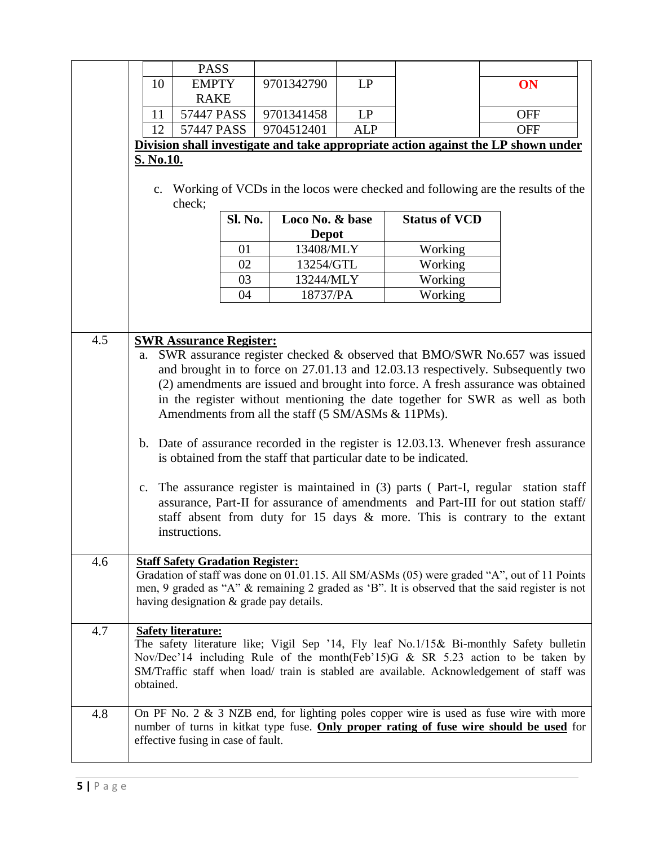|            |                                                                                                                                                                                                                                                                                                                                                                                                                                                                                                                                                                                                                                                                                                                                                                                                                                                                                 | <b>PASS</b>                        |         |                 |            |                      |                                                                                                                                                                                                                                                                            |
|------------|---------------------------------------------------------------------------------------------------------------------------------------------------------------------------------------------------------------------------------------------------------------------------------------------------------------------------------------------------------------------------------------------------------------------------------------------------------------------------------------------------------------------------------------------------------------------------------------------------------------------------------------------------------------------------------------------------------------------------------------------------------------------------------------------------------------------------------------------------------------------------------|------------------------------------|---------|-----------------|------------|----------------------|----------------------------------------------------------------------------------------------------------------------------------------------------------------------------------------------------------------------------------------------------------------------------|
|            | 10                                                                                                                                                                                                                                                                                                                                                                                                                                                                                                                                                                                                                                                                                                                                                                                                                                                                              | <b>EMPTY</b>                       |         | 9701342790      | LP         |                      | ON                                                                                                                                                                                                                                                                         |
|            |                                                                                                                                                                                                                                                                                                                                                                                                                                                                                                                                                                                                                                                                                                                                                                                                                                                                                 | <b>RAKE</b>                        |         |                 |            |                      |                                                                                                                                                                                                                                                                            |
|            | 11                                                                                                                                                                                                                                                                                                                                                                                                                                                                                                                                                                                                                                                                                                                                                                                                                                                                              | 57447 PASS                         |         | 9701341458      | LP         |                      | <b>OFF</b>                                                                                                                                                                                                                                                                 |
|            | 12                                                                                                                                                                                                                                                                                                                                                                                                                                                                                                                                                                                                                                                                                                                                                                                                                                                                              | 57447 PASS                         |         | 9704512401      | <b>ALP</b> |                      | <b>OFF</b>                                                                                                                                                                                                                                                                 |
|            |                                                                                                                                                                                                                                                                                                                                                                                                                                                                                                                                                                                                                                                                                                                                                                                                                                                                                 |                                    |         |                 |            |                      | Division shall investigate and take appropriate action against the LP shown under                                                                                                                                                                                          |
|            | <b>S. No.10.</b>                                                                                                                                                                                                                                                                                                                                                                                                                                                                                                                                                                                                                                                                                                                                                                                                                                                                |                                    |         |                 |            |                      |                                                                                                                                                                                                                                                                            |
|            | $c_{\cdot}$                                                                                                                                                                                                                                                                                                                                                                                                                                                                                                                                                                                                                                                                                                                                                                                                                                                                     | check;                             |         |                 |            |                      | Working of VCDs in the locos were checked and following are the results of the                                                                                                                                                                                             |
|            |                                                                                                                                                                                                                                                                                                                                                                                                                                                                                                                                                                                                                                                                                                                                                                                                                                                                                 |                                    | Sl. No. | Loco No. & base |            | <b>Status of VCD</b> |                                                                                                                                                                                                                                                                            |
|            |                                                                                                                                                                                                                                                                                                                                                                                                                                                                                                                                                                                                                                                                                                                                                                                                                                                                                 |                                    |         | <b>Depot</b>    |            |                      |                                                                                                                                                                                                                                                                            |
|            |                                                                                                                                                                                                                                                                                                                                                                                                                                                                                                                                                                                                                                                                                                                                                                                                                                                                                 |                                    | 01      | 13408/MLY       |            | Working              |                                                                                                                                                                                                                                                                            |
|            |                                                                                                                                                                                                                                                                                                                                                                                                                                                                                                                                                                                                                                                                                                                                                                                                                                                                                 |                                    | 02      | 13254/GTL       |            | Working              |                                                                                                                                                                                                                                                                            |
|            |                                                                                                                                                                                                                                                                                                                                                                                                                                                                                                                                                                                                                                                                                                                                                                                                                                                                                 |                                    | 03      | 13244/MLY       |            | Working              |                                                                                                                                                                                                                                                                            |
|            |                                                                                                                                                                                                                                                                                                                                                                                                                                                                                                                                                                                                                                                                                                                                                                                                                                                                                 |                                    | 04      | 18737/PA        |            | Working              |                                                                                                                                                                                                                                                                            |
|            |                                                                                                                                                                                                                                                                                                                                                                                                                                                                                                                                                                                                                                                                                                                                                                                                                                                                                 |                                    |         |                 |            |                      |                                                                                                                                                                                                                                                                            |
|            |                                                                                                                                                                                                                                                                                                                                                                                                                                                                                                                                                                                                                                                                                                                                                                                                                                                                                 |                                    |         |                 |            |                      |                                                                                                                                                                                                                                                                            |
| 4.5<br>4.6 | <b>SWR Assurance Register:</b><br>SWR assurance register checked & observed that BMO/SWR No.657 was issued<br>a.<br>and brought in to force on 27.01.13 and 12.03.13 respectively. Subsequently two<br>(2) amendments are issued and brought into force. A fresh assurance was obtained<br>in the register without mentioning the date together for SWR as well as both<br>Amendments from all the staff (5 SM/ASMs & 11PMs).<br>b. Date of assurance recorded in the register is 12.03.13. Whenever fresh assurance<br>is obtained from the staff that particular date to be indicated.<br>The assurance register is maintained in (3) parts (Part-I, regular station staff<br>$c_{\cdot}$<br>assurance, Part-II for assurance of amendments and Part-III for out station staff/<br>staff absent from duty for 15 days & more. This is contrary to the extant<br>instructions. |                                    |         |                 |            |                      |                                                                                                                                                                                                                                                                            |
|            | <b>Staff Safety Gradation Register:</b><br>Gradation of staff was done on 01.01.15. All SM/ASMs (05) were graded "A", out of 11 Points<br>men, 9 graded as "A" & remaining 2 graded as 'B". It is observed that the said register is not<br>having designation & grade pay details.                                                                                                                                                                                                                                                                                                                                                                                                                                                                                                                                                                                             |                                    |         |                 |            |                      |                                                                                                                                                                                                                                                                            |
| 4.7        | obtained.                                                                                                                                                                                                                                                                                                                                                                                                                                                                                                                                                                                                                                                                                                                                                                                                                                                                       | <b>Safety literature:</b>          |         |                 |            |                      | The safety literature like; Vigil Sep '14, Fly leaf No.1/15& Bi-monthly Safety bulletin<br>Nov/Dec'14 including Rule of the month(Feb'15) $G \& SR 5.23$ action to be taken by<br>SM/Traffic staff when load/ train is stabled are available. Acknowledgement of staff was |
| 4.8        |                                                                                                                                                                                                                                                                                                                                                                                                                                                                                                                                                                                                                                                                                                                                                                                                                                                                                 | effective fusing in case of fault. |         |                 |            |                      | On PF No. 2 & 3 NZB end, for lighting poles copper wire is used as fuse wire with more<br>number of turns in kitkat type fuse. Only proper rating of fuse wire should be used for                                                                                          |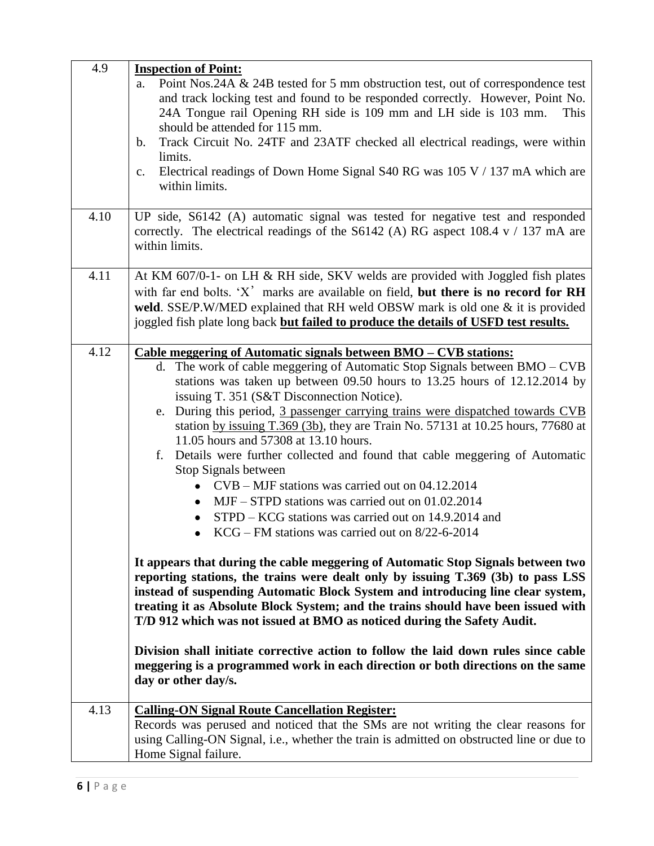| 4.9  | <b>Inspection of Point:</b>                                                                    |
|------|------------------------------------------------------------------------------------------------|
|      | Point Nos.24A & 24B tested for 5 mm obstruction test, out of correspondence test<br>a.         |
|      | and track locking test and found to be responded correctly. However, Point No.                 |
|      | 24A Tongue rail Opening RH side is 109 mm and LH side is 103 mm.<br>This                       |
|      | should be attended for 115 mm.                                                                 |
|      | Track Circuit No. 24TF and 23ATF checked all electrical readings, were within<br>$\mathbf b$ . |
|      | limits.                                                                                        |
|      | Electrical readings of Down Home Signal S40 RG was 105 V / 137 mA which are<br>$C_{\bullet}$   |
|      | within limits.                                                                                 |
|      |                                                                                                |
| 4.10 | UP side, S6142 (A) automatic signal was tested for negative test and responded                 |
|      | correctly. The electrical readings of the S6142 (A) RG aspect 108.4 $v / 137$ mA are           |
|      | within limits.                                                                                 |
|      |                                                                                                |
| 4.11 | At KM 607/0-1- on LH & RH side, SKV welds are provided with Joggled fish plates                |
|      | with far end bolts. 'X' marks are available on field, but there is no record for RH            |
|      | weld. SSE/P.W/MED explained that RH weld OBSW mark is old one & it is provided                 |
|      | joggled fish plate long back but failed to produce the details of USFD test results.           |
|      |                                                                                                |
| 4.12 | <u> Cable meggering of Automatic signals between BMO – CVB stations:</u>                       |
|      | d. The work of cable meggering of Automatic Stop Signals between BMO – CVB                     |
|      | stations was taken up between 09.50 hours to 13.25 hours of 12.12.2014 by                      |
|      | issuing T. 351 (S&T Disconnection Notice).                                                     |
|      | During this period, 3 passenger carrying trains were dispatched towards CVB<br>e.              |
|      | station by issuing T.369 (3b), they are Train No. 57131 at 10.25 hours, 77680 at               |
|      | 11.05 hours and 57308 at 13.10 hours.                                                          |
|      | Details were further collected and found that cable meggering of Automatic<br>f.               |
|      | Stop Signals between                                                                           |
|      | $CVB - MIF$ stations was carried out on 04.12.2014                                             |
|      | $\bullet$                                                                                      |
|      | MJF - STPD stations was carried out on 01.02.2014<br>$\bullet$                                 |
|      | STPD – KCG stations was carried out on 14.9.2014 and                                           |
|      | $KCG$ – FM stations was carried out on 8/22-6-2014                                             |
|      |                                                                                                |
|      | It appears that during the cable meggering of Automatic Stop Signals between two               |
|      | reporting stations, the trains were dealt only by issuing T.369 (3b) to pass LSS               |
|      | instead of suspending Automatic Block System and introducing line clear system,                |
|      | treating it as Absolute Block System; and the trains should have been issued with              |
|      | T/D 912 which was not issued at BMO as noticed during the Safety Audit.                        |
|      |                                                                                                |
|      | Division shall initiate corrective action to follow the laid down rules since cable            |
|      | meggering is a programmed work in each direction or both directions on the same                |
|      | day or other day/s.                                                                            |
| 4.13 |                                                                                                |
|      | <b>Calling-ON Signal Route Cancellation Register:</b>                                          |
|      | Records was perused and noticed that the SMs are not writing the clear reasons for             |
|      | using Calling-ON Signal, i.e., whether the train is admitted on obstructed line or due to      |
|      | Home Signal failure.                                                                           |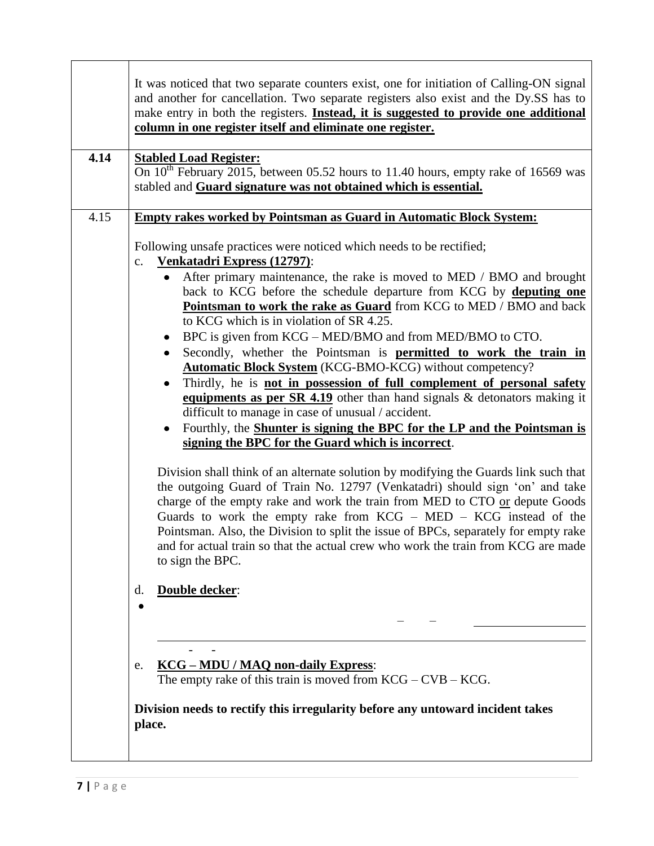|      | It was noticed that two separate counters exist, one for initiation of Calling-ON signal<br>and another for cancellation. Two separate registers also exist and the Dy SS has to                                                                                                                                                                                                                                                                                                                                                                                                                                                                                                                                                                                                                                                                                                                                                                                                                                            |
|------|-----------------------------------------------------------------------------------------------------------------------------------------------------------------------------------------------------------------------------------------------------------------------------------------------------------------------------------------------------------------------------------------------------------------------------------------------------------------------------------------------------------------------------------------------------------------------------------------------------------------------------------------------------------------------------------------------------------------------------------------------------------------------------------------------------------------------------------------------------------------------------------------------------------------------------------------------------------------------------------------------------------------------------|
|      | make entry in both the registers. Instead, it is suggested to provide one additional<br>column in one register itself and eliminate one register.                                                                                                                                                                                                                                                                                                                                                                                                                                                                                                                                                                                                                                                                                                                                                                                                                                                                           |
|      |                                                                                                                                                                                                                                                                                                                                                                                                                                                                                                                                                                                                                                                                                                                                                                                                                                                                                                                                                                                                                             |
| 4.14 | <b>Stabled Load Register:</b><br>On $10^{th}$ February 2015, between 05.52 hours to 11.40 hours, empty rake of 16569 was<br>stabled and Guard signature was not obtained which is essential.                                                                                                                                                                                                                                                                                                                                                                                                                                                                                                                                                                                                                                                                                                                                                                                                                                |
| 4.15 | <b>Empty rakes worked by Pointsman as Guard in Automatic Block System:</b>                                                                                                                                                                                                                                                                                                                                                                                                                                                                                                                                                                                                                                                                                                                                                                                                                                                                                                                                                  |
|      | Following unsafe practices were noticed which needs to be rectified;<br>Venkatadri Express (12797):<br>$\mathbf{c}$ .                                                                                                                                                                                                                                                                                                                                                                                                                                                                                                                                                                                                                                                                                                                                                                                                                                                                                                       |
|      | After primary maintenance, the rake is moved to MED / BMO and brought<br>back to KCG before the schedule departure from KCG by deputing one<br>Pointsman to work the rake as Guard from KCG to MED / BMO and back<br>to KCG which is in violation of SR 4.25.<br>BPC is given from KCG – MED/BMO and from MED/BMO to CTO.<br>$\bullet$<br>Secondly, whether the Pointsman is <b>permitted to work the train in</b><br><b>Automatic Block System</b> (KCG-BMO-KCG) without competency?<br>Thirdly, he is not in possession of full complement of personal safety<br>equipments as per SR $4.19$ other than hand signals $\&$ detonators making it<br>difficult to manage in case of unusual / accident.<br>Fourthly, the <b>Shunter is signing the BPC</b> for the LP and the Pointsman is<br>٠<br>signing the BPC for the Guard which is incorrect.<br>Division shall think of an alternate solution by modifying the Guards link such that<br>the outgoing Guard of Train No. 12797 (Venkatadri) should sign 'on' and take |
|      | charge of the empty rake and work the train from MED to CTO or depute Goods<br>Guards to work the empty rake from $KCG - MED - KCG$ instead of the<br>Pointsman. Also, the Division to split the issue of BPCs, separately for empty rake<br>and for actual train so that the actual crew who work the train from KCG are made<br>to sign the BPC.                                                                                                                                                                                                                                                                                                                                                                                                                                                                                                                                                                                                                                                                          |
|      | Double decker:<br>d.                                                                                                                                                                                                                                                                                                                                                                                                                                                                                                                                                                                                                                                                                                                                                                                                                                                                                                                                                                                                        |
|      | <b>KCG - MDU / MAQ non-daily Express:</b><br>e.<br>The empty rake of this train is moved from $KCG - CVB - KCG$ .                                                                                                                                                                                                                                                                                                                                                                                                                                                                                                                                                                                                                                                                                                                                                                                                                                                                                                           |
|      | Division needs to rectify this irregularity before any untoward incident takes<br>place.                                                                                                                                                                                                                                                                                                                                                                                                                                                                                                                                                                                                                                                                                                                                                                                                                                                                                                                                    |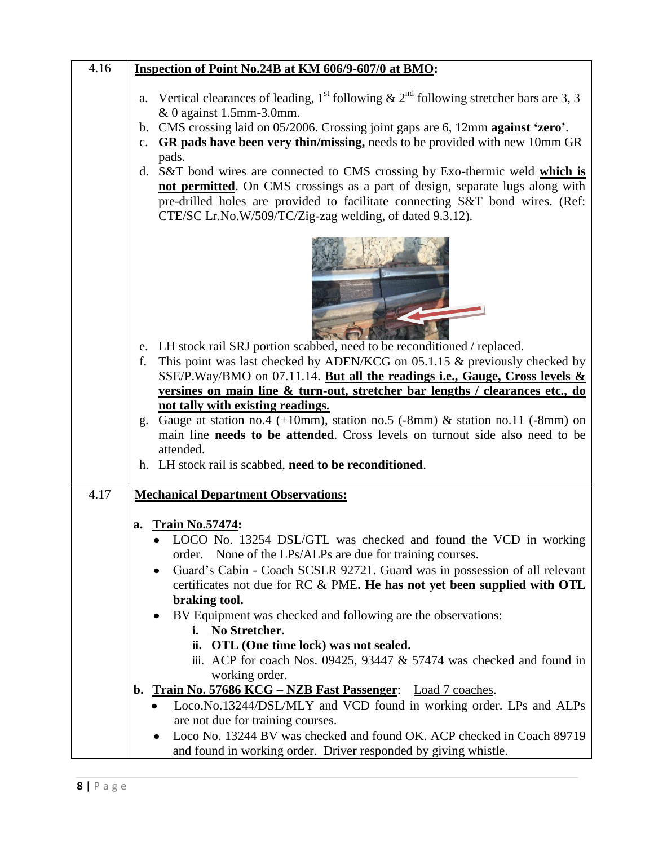| 4.16 | Inspection of Point No.24B at KM 606/9-607/0 at BMO:                                                                                                                                                                                                                                                                                                                                                                |
|------|---------------------------------------------------------------------------------------------------------------------------------------------------------------------------------------------------------------------------------------------------------------------------------------------------------------------------------------------------------------------------------------------------------------------|
|      | Vertical clearances of leading, 1 <sup>st</sup> following & 2 <sup>nd</sup> following stretcher bars are 3, 3<br>a.<br>& 0 against 1.5mm-3.0mm.<br>CMS crossing laid on 05/2006. Crossing joint gaps are 6, 12mm against 'zero'.<br>b.<br>GR pads have been very thin/missing, needs to be provided with new 10mm GR<br>c.<br>pads.<br>d. S&T bond wires are connected to CMS crossing by Exo-thermic weld which is |
|      | not permitted. On CMS crossings as a part of design, separate lugs along with<br>pre-drilled holes are provided to facilitate connecting S&T bond wires. (Ref:<br>CTE/SC Lr.No.W/509/TC/Zig-zag welding, of dated 9.3.12).                                                                                                                                                                                          |
|      |                                                                                                                                                                                                                                                                                                                                                                                                                     |
|      | e. LH stock rail SRJ portion scabbed, need to be reconditioned / replaced.<br>This point was last checked by ADEN/KCG on 05.1.15 & previously checked by<br>f.                                                                                                                                                                                                                                                      |
|      | SSE/P.Way/BMO on 07.11.14. But all the readings i.e., Gauge, Cross levels &                                                                                                                                                                                                                                                                                                                                         |
|      | versines on main line & turn-out, stretcher bar lengths / clearances etc., do                                                                                                                                                                                                                                                                                                                                       |
|      | not tally with existing readings.                                                                                                                                                                                                                                                                                                                                                                                   |
|      | Gauge at station no.4 (+10mm), station no.5 (-8mm) $\&$ station no.11 (-8mm) on<br>g.<br>main line needs to be attended. Cross levels on turnout side also need to be                                                                                                                                                                                                                                               |
|      | attended.                                                                                                                                                                                                                                                                                                                                                                                                           |
|      | h. LH stock rail is scabbed, need to be reconditioned.                                                                                                                                                                                                                                                                                                                                                              |
| 4.17 | <b>Mechanical Department Observations:</b>                                                                                                                                                                                                                                                                                                                                                                          |
|      |                                                                                                                                                                                                                                                                                                                                                                                                                     |
|      | <b>Train No.57474:</b><br>a.                                                                                                                                                                                                                                                                                                                                                                                        |
|      | LOCO No. 13254 DSL/GTL was checked and found the VCD in working<br>None of the LPs/ALPs are due for training courses.<br>order.                                                                                                                                                                                                                                                                                     |
|      | Guard's Cabin - Coach SCSLR 92721. Guard was in possession of all relevant<br>$\bullet$                                                                                                                                                                                                                                                                                                                             |
|      | certificates not due for RC & PME. He has not yet been supplied with OTL                                                                                                                                                                                                                                                                                                                                            |
|      | braking tool.                                                                                                                                                                                                                                                                                                                                                                                                       |
|      | BV Equipment was checked and following are the observations:<br>No Stretcher.<br>i.                                                                                                                                                                                                                                                                                                                                 |
|      | ii. OTL (One time lock) was not sealed.                                                                                                                                                                                                                                                                                                                                                                             |
|      | iii. ACP for coach Nos. $09425$ , $93447 \& 57474$ was checked and found in                                                                                                                                                                                                                                                                                                                                         |
|      | working order.                                                                                                                                                                                                                                                                                                                                                                                                      |
|      | Train No. 57686 KCG – NZB Fast Passenger: Load 7 coaches.<br>$\mathbf{b}$ .<br>Loco.No.13244/DSL/MLY and VCD found in working order. LPs and ALPs                                                                                                                                                                                                                                                                   |
|      | are not due for training courses.                                                                                                                                                                                                                                                                                                                                                                                   |
|      | Loco No. 13244 BV was checked and found OK. ACP checked in Coach 89719                                                                                                                                                                                                                                                                                                                                              |
|      | and found in working order. Driver responded by giving whistle.                                                                                                                                                                                                                                                                                                                                                     |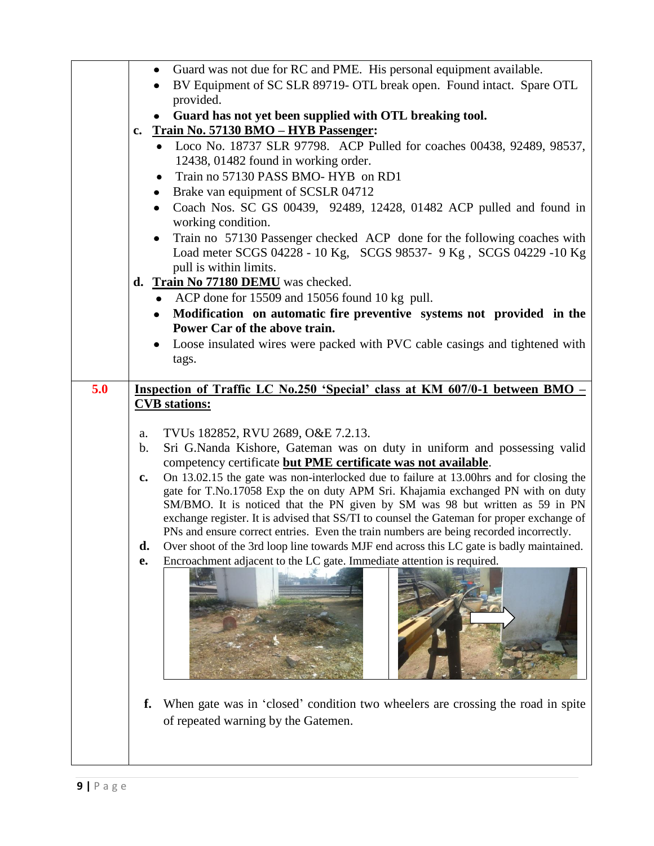|     |               | Guard was not due for RC and PME. His personal equipment available.<br>$\bullet$          |  |  |
|-----|---------------|-------------------------------------------------------------------------------------------|--|--|
|     |               | BV Equipment of SC SLR 89719- OTL break open. Found intact. Spare OTL                     |  |  |
|     |               | provided.                                                                                 |  |  |
|     |               | Guard has not yet been supplied with OTL breaking tool.                                   |  |  |
|     | $c_{\bullet}$ | Train No. 57130 BMO - HYB Passenger:                                                      |  |  |
|     |               | • Loco No. 18737 SLR 97798. ACP Pulled for coaches 00438, 92489, 98537,                   |  |  |
|     |               | 12438, 01482 found in working order.                                                      |  |  |
|     |               | Train no 57130 PASS BMO- HYB on RD1<br>$\bullet$                                          |  |  |
|     |               |                                                                                           |  |  |
|     |               | Brake van equipment of SCSLR 04712<br>٠                                                   |  |  |
|     |               | Coach Nos. SC GS 00439, 92489, 12428, 01482 ACP pulled and found in<br>$\bullet$          |  |  |
|     |               | working condition.                                                                        |  |  |
|     |               | Train no 57130 Passenger checked ACP done for the following coaches with                  |  |  |
|     |               | Load meter SCGS 04228 - 10 Kg, SCGS 98537- 9 Kg, SCGS 04229 -10 Kg                        |  |  |
|     |               | pull is within limits.                                                                    |  |  |
|     |               | d. Train No 77180 DEMU was checked.                                                       |  |  |
|     |               | ACP done for 15509 and 15056 found 10 kg pull.<br>$\bullet$                               |  |  |
|     |               | Modification on automatic fire preventive systems not provided in the<br>$\bullet$        |  |  |
|     |               | Power Car of the above train.                                                             |  |  |
|     |               | Loose insulated wires were packed with PVC cable casings and tightened with               |  |  |
|     |               | tags.                                                                                     |  |  |
|     |               |                                                                                           |  |  |
| 5.0 |               | Inspection of Traffic LC No.250 'Special' class at KM 607/0-1 between BMO -               |  |  |
|     |               | <b>CVB</b> stations:                                                                      |  |  |
|     |               |                                                                                           |  |  |
|     |               |                                                                                           |  |  |
|     |               |                                                                                           |  |  |
|     | a.            | TVUs 182852, RVU 2689, O&E 7.2.13.                                                        |  |  |
|     | $\mathbf b$ . | Sri G.Nanda Kishore, Gateman was on duty in uniform and possessing valid                  |  |  |
|     |               | competency certificate but PME certificate was not available.                             |  |  |
|     | c.            | On 13.02.15 the gate was non-interlocked due to failure at 13.00 hrs and for closing the  |  |  |
|     |               | gate for T.No.17058 Exp the on duty APM Sri. Khajamia exchanged PN with on duty           |  |  |
|     |               | SM/BMO. It is noticed that the PN given by SM was 98 but written as 59 in PN              |  |  |
|     |               | exchange register. It is advised that SS/TI to counsel the Gateman for proper exchange of |  |  |
|     |               | PNs and ensure correct entries. Even the train numbers are being recorded incorrectly.    |  |  |
|     | d.            | Over shoot of the 3rd loop line towards MJF end across this LC gate is badly maintained.  |  |  |
|     | e.            | Encroachment adjacent to the LC gate. Immediate attention is required.                    |  |  |
|     |               |                                                                                           |  |  |
|     |               |                                                                                           |  |  |
|     |               |                                                                                           |  |  |
|     |               |                                                                                           |  |  |
|     |               |                                                                                           |  |  |
|     |               |                                                                                           |  |  |
|     |               |                                                                                           |  |  |
|     |               |                                                                                           |  |  |
|     | f.            | When gate was in 'closed' condition two wheelers are crossing the road in spite           |  |  |
|     |               |                                                                                           |  |  |
|     |               | of repeated warning by the Gatemen.                                                       |  |  |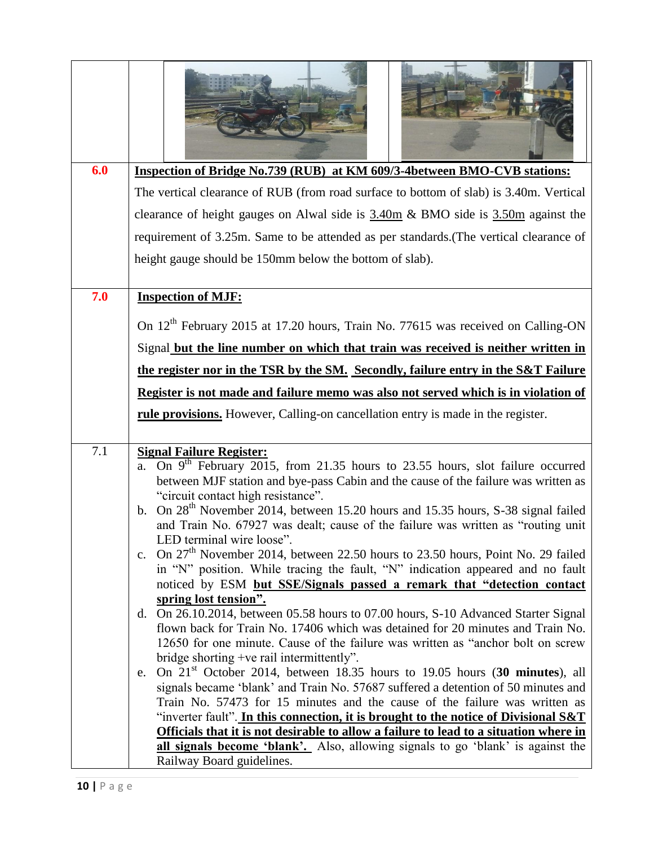| 6.0 | Inspection of Bridge No.739 (RUB) at KM 609/3-4between BMO-CVB stations:                                                                                                                                                                                                                                                                                                                                                                                                                                                                                                                                                                                                                                                                                                                                                                                                                                                                                                                                                                                                                                                                                                                                                                          |
|-----|---------------------------------------------------------------------------------------------------------------------------------------------------------------------------------------------------------------------------------------------------------------------------------------------------------------------------------------------------------------------------------------------------------------------------------------------------------------------------------------------------------------------------------------------------------------------------------------------------------------------------------------------------------------------------------------------------------------------------------------------------------------------------------------------------------------------------------------------------------------------------------------------------------------------------------------------------------------------------------------------------------------------------------------------------------------------------------------------------------------------------------------------------------------------------------------------------------------------------------------------------|
|     | The vertical clearance of RUB (from road surface to bottom of slab) is 3.40m. Vertical                                                                                                                                                                                                                                                                                                                                                                                                                                                                                                                                                                                                                                                                                                                                                                                                                                                                                                                                                                                                                                                                                                                                                            |
|     |                                                                                                                                                                                                                                                                                                                                                                                                                                                                                                                                                                                                                                                                                                                                                                                                                                                                                                                                                                                                                                                                                                                                                                                                                                                   |
|     | clearance of height gauges on Alwal side is $3.40m \& BMO$ side is $3.50m$ against the                                                                                                                                                                                                                                                                                                                                                                                                                                                                                                                                                                                                                                                                                                                                                                                                                                                                                                                                                                                                                                                                                                                                                            |
|     | requirement of 3.25m. Same to be attended as per standards. (The vertical clearance of                                                                                                                                                                                                                                                                                                                                                                                                                                                                                                                                                                                                                                                                                                                                                                                                                                                                                                                                                                                                                                                                                                                                                            |
|     | height gauge should be 150mm below the bottom of slab).                                                                                                                                                                                                                                                                                                                                                                                                                                                                                                                                                                                                                                                                                                                                                                                                                                                                                                                                                                                                                                                                                                                                                                                           |
|     |                                                                                                                                                                                                                                                                                                                                                                                                                                                                                                                                                                                                                                                                                                                                                                                                                                                                                                                                                                                                                                                                                                                                                                                                                                                   |
| 7.0 | <b>Inspection of MJF:</b>                                                                                                                                                                                                                                                                                                                                                                                                                                                                                                                                                                                                                                                                                                                                                                                                                                                                                                                                                                                                                                                                                                                                                                                                                         |
|     | On 12 <sup>th</sup> February 2015 at 17.20 hours, Train No. 77615 was received on Calling-ON                                                                                                                                                                                                                                                                                                                                                                                                                                                                                                                                                                                                                                                                                                                                                                                                                                                                                                                                                                                                                                                                                                                                                      |
|     |                                                                                                                                                                                                                                                                                                                                                                                                                                                                                                                                                                                                                                                                                                                                                                                                                                                                                                                                                                                                                                                                                                                                                                                                                                                   |
|     | Signal but the line number on which that train was received is neither written in                                                                                                                                                                                                                                                                                                                                                                                                                                                                                                                                                                                                                                                                                                                                                                                                                                                                                                                                                                                                                                                                                                                                                                 |
|     | the register nor in the TSR by the SM. Secondly, failure entry in the S&T Failure                                                                                                                                                                                                                                                                                                                                                                                                                                                                                                                                                                                                                                                                                                                                                                                                                                                                                                                                                                                                                                                                                                                                                                 |
|     | Register is not made and failure memo was also not served which is in violation of                                                                                                                                                                                                                                                                                                                                                                                                                                                                                                                                                                                                                                                                                                                                                                                                                                                                                                                                                                                                                                                                                                                                                                |
|     | rule provisions. However, Calling-on cancellation entry is made in the register.                                                                                                                                                                                                                                                                                                                                                                                                                                                                                                                                                                                                                                                                                                                                                                                                                                                                                                                                                                                                                                                                                                                                                                  |
|     |                                                                                                                                                                                                                                                                                                                                                                                                                                                                                                                                                                                                                                                                                                                                                                                                                                                                                                                                                                                                                                                                                                                                                                                                                                                   |
| 7.1 | <b>Signal Failure Register:</b><br>On $9th$ February 2015, from 21.35 hours to 23.55 hours, slot failure occurred<br>a.<br>between MJF station and bye-pass Cabin and the cause of the failure was written as<br>"circuit contact high resistance".<br>b. On 28 <sup>th</sup> November 2014, between 15.20 hours and 15.35 hours, S-38 signal failed<br>and Train No. 67927 was dealt; cause of the failure was written as "routing unit<br>LED terminal wire loose".<br>c. On $27th$ November 2014, between 22.50 hours to 23.50 hours, Point No. 29 failed<br>in "N" position. While tracing the fault, "N" indication appeared and no fault<br>noticed by ESM but SSE/Signals passed a remark that "detection contact<br>spring lost tension".<br>On 26.10.2014, between 05.58 hours to 07.00 hours, S-10 Advanced Starter Signal<br>d.<br>flown back for Train No. 17406 which was detained for 20 minutes and Train No.<br>12650 for one minute. Cause of the failure was written as "anchor bolt on screw<br>bridge shorting +ve rail intermittently".<br>On 21 <sup>st</sup> October 2014, between 18.35 hours to 19.05 hours (30 minutes), all<br>e.<br>signals became 'blank' and Train No. 57687 suffered a detention of 50 minutes and |
|     | Train No. 57473 for 15 minutes and the cause of the failure was written as<br>"inverter fault". In this connection, it is brought to the notice of Divisional S&T                                                                                                                                                                                                                                                                                                                                                                                                                                                                                                                                                                                                                                                                                                                                                                                                                                                                                                                                                                                                                                                                                 |
|     | Officials that it is not desirable to allow a failure to lead to a situation where in                                                                                                                                                                                                                                                                                                                                                                                                                                                                                                                                                                                                                                                                                                                                                                                                                                                                                                                                                                                                                                                                                                                                                             |
|     | <b>all signals become 'blank'.</b> Also, allowing signals to go 'blank' is against the                                                                                                                                                                                                                                                                                                                                                                                                                                                                                                                                                                                                                                                                                                                                                                                                                                                                                                                                                                                                                                                                                                                                                            |
|     | Railway Board guidelines.                                                                                                                                                                                                                                                                                                                                                                                                                                                                                                                                                                                                                                                                                                                                                                                                                                                                                                                                                                                                                                                                                                                                                                                                                         |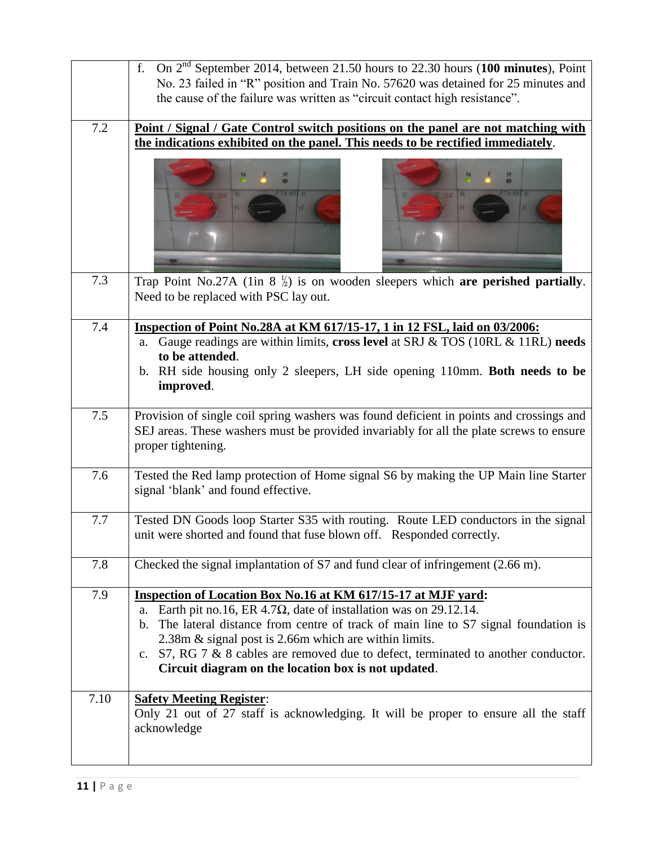|      | On 2 <sup>nd</sup> September 2014, between 21.50 hours to 22.30 hours (100 minutes), Point<br>f.<br>No. 23 failed in "R" position and Train No. 57620 was detained for 25 minutes and<br>the cause of the failure was written as "circuit contact high resistance".                                                                                                                                                                                          |
|------|--------------------------------------------------------------------------------------------------------------------------------------------------------------------------------------------------------------------------------------------------------------------------------------------------------------------------------------------------------------------------------------------------------------------------------------------------------------|
| 7.2  | Point / Signal / Gate Control switch positions on the panel are not matching with<br>the indications exhibited on the panel. This needs to be rectified immediately.                                                                                                                                                                                                                                                                                         |
|      |                                                                                                                                                                                                                                                                                                                                                                                                                                                              |
| 7.3  | Trap Point No.27A (1in 8 $\frac{1}{2}$ ) is on wooden sleepers which are perished partially.<br>Need to be replaced with PSC lay out.                                                                                                                                                                                                                                                                                                                        |
| 7.4  | Inspection of Point No.28A at KM 617/15-17, 1 in 12 FSL, laid on 03/2006:<br>Gauge readings are within limits, cross level at SRJ & TOS (10RL & 11RL) needs<br>a.<br>to be attended.<br>b. RH side housing only 2 sleepers, LH side opening 110mm. Both needs to be<br>improved.                                                                                                                                                                             |
| 7.5  | Provision of single coil spring washers was found deficient in points and crossings and<br>SEJ areas. These washers must be provided invariably for all the plate screws to ensure<br>proper tightening.                                                                                                                                                                                                                                                     |
| 7.6  | Tested the Red lamp protection of Home signal S6 by making the UP Main line Starter<br>signal 'blank' and found effective.                                                                                                                                                                                                                                                                                                                                   |
| 7.7  | Tested DN Goods loop Starter S35 with routing. Route LED conductors in the signal<br>unit were shorted and found that fuse blown off. Responded correctly.                                                                                                                                                                                                                                                                                                   |
| 7.8  | Checked the signal implantation of S7 and fund clear of infringement (2.66 m).                                                                                                                                                                                                                                                                                                                                                                               |
| 7.9  | Inspection of Location Box No.16 at KM 617/15-17 at MJF yard:<br>Earth pit no.16, ER 4.7 $\Omega$ , date of installation was on 29.12.14.<br>a.<br>The lateral distance from centre of track of main line to S7 signal foundation is<br>b.<br>2.38m & signal post is 2.66m which are within limits.<br>S7, RG 7 & 8 cables are removed due to defect, terminated to another conductor.<br>$c_{\cdot}$<br>Circuit diagram on the location box is not updated. |
| 7.10 | <b>Safety Meeting Register:</b><br>Only 21 out of 27 staff is acknowledging. It will be proper to ensure all the staff<br>acknowledge                                                                                                                                                                                                                                                                                                                        |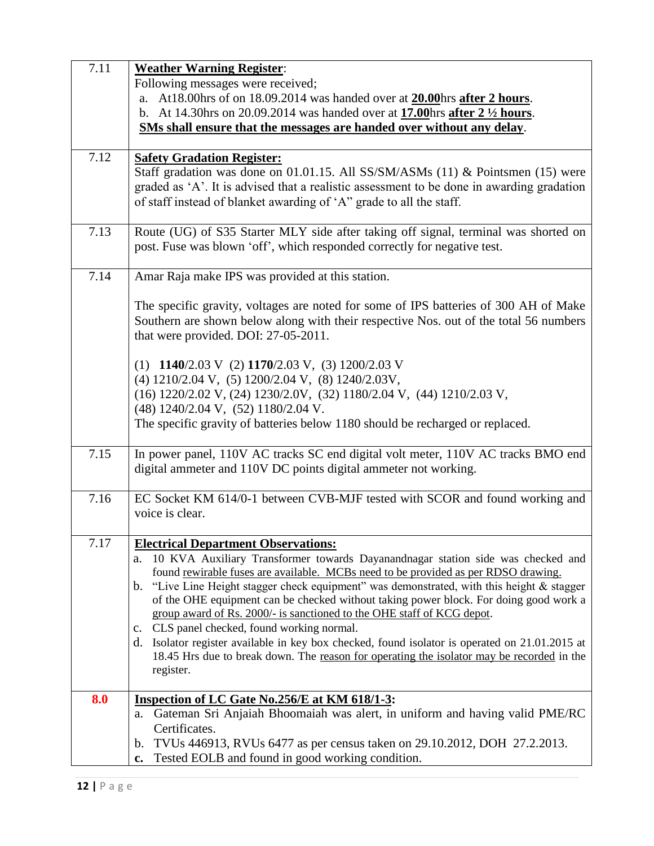| 7.11 | <b>Weather Warning Register:</b>                                                                                                                                                    |
|------|-------------------------------------------------------------------------------------------------------------------------------------------------------------------------------------|
|      | Following messages were received;                                                                                                                                                   |
|      | At 18.00 hrs of on 18.09.2014 was handed over at 20.00 hrs after 2 hours.<br>a.                                                                                                     |
|      | At 14.30hrs on 20.09.2014 was handed over at <b>17.00</b> hrs after 2 <sup>1</sup> / <sub>2</sub> hours.<br>$\mathbf{b}$ .                                                          |
|      | SMs shall ensure that the messages are handed over without any delay.                                                                                                               |
|      |                                                                                                                                                                                     |
| 7.12 | <b>Safety Gradation Register:</b>                                                                                                                                                   |
|      | Staff gradation was done on 01.01.15. All SS/SM/ASMs (11) & Pointsmen (15) were                                                                                                     |
|      | graded as 'A'. It is advised that a realistic assessment to be done in awarding gradation                                                                                           |
|      | of staff instead of blanket awarding of 'A" grade to all the staff.                                                                                                                 |
|      |                                                                                                                                                                                     |
| 7.13 | Route (UG) of S35 Starter MLY side after taking off signal, terminal was shorted on                                                                                                 |
|      | post. Fuse was blown 'off', which responded correctly for negative test.                                                                                                            |
|      |                                                                                                                                                                                     |
| 7.14 | Amar Raja make IPS was provided at this station.                                                                                                                                    |
|      |                                                                                                                                                                                     |
|      | The specific gravity, voltages are noted for some of IPS batteries of 300 AH of Make                                                                                                |
|      | Southern are shown below along with their respective Nos. out of the total 56 numbers                                                                                               |
|      | that were provided. DOI: 27-05-2011.                                                                                                                                                |
|      |                                                                                                                                                                                     |
|      | (1) $1140/2.03$ V (2) $1170/2.03$ V, (3) $1200/2.03$ V                                                                                                                              |
|      | (4) 1210/2.04 V, (5) 1200/2.04 V, (8) 1240/2.03V,                                                                                                                                   |
|      | (16) 1220/2.02 V, (24) 1230/2.0V, (32) 1180/2.04 V, (44) 1210/2.03 V,                                                                                                               |
|      | (48) 1240/2.04 V, (52) 1180/2.04 V.                                                                                                                                                 |
|      | The specific gravity of batteries below 1180 should be recharged or replaced.                                                                                                       |
|      |                                                                                                                                                                                     |
| 7.15 | In power panel, 110V AC tracks SC end digital volt meter, 110V AC tracks BMO end                                                                                                    |
|      | digital ammeter and 110V DC points digital ammeter not working.                                                                                                                     |
|      |                                                                                                                                                                                     |
| 7.16 | EC Socket KM 614/0-1 between CVB-MJF tested with SCOR and found working and                                                                                                         |
|      | voice is clear.                                                                                                                                                                     |
|      |                                                                                                                                                                                     |
| 7.17 | <b>Electrical Department Observations:</b>                                                                                                                                          |
|      | a. 10 KVA Auxiliary Transformer towards Dayanandnagar station side was checked and                                                                                                  |
|      | found rewirable fuses are available. MCBs need to be provided as per RDSO drawing.<br>"Live Line Height stagger check equipment" was demonstrated, with this height & stagger<br>b. |
|      | of the OHE equipment can be checked without taking power block. For doing good work a                                                                                               |
|      | group award of Rs. 2000/- is sanctioned to the OHE staff of KCG depot.                                                                                                              |
|      | c. CLS panel checked, found working normal.                                                                                                                                         |
|      | d. Isolator register available in key box checked, found isolator is operated on 21.01.2015 at                                                                                      |
|      | 18.45 Hrs due to break down. The reason for operating the isolator may be recorded in the                                                                                           |
|      | register.                                                                                                                                                                           |
|      |                                                                                                                                                                                     |
| 8.0  | Inspection of LC Gate No.256/E at KM 618/1-3:                                                                                                                                       |
|      | Gateman Sri Anjaiah Bhoomaiah was alert, in uniform and having valid PME/RC<br>a.                                                                                                   |
|      | Certificates.                                                                                                                                                                       |
|      | TVUs 446913, RVUs 6477 as per census taken on 29.10.2012, DOH 27.2.2013.<br>$\mathbf b$ .                                                                                           |
|      | Tested EOLB and found in good working condition.<br>c.                                                                                                                              |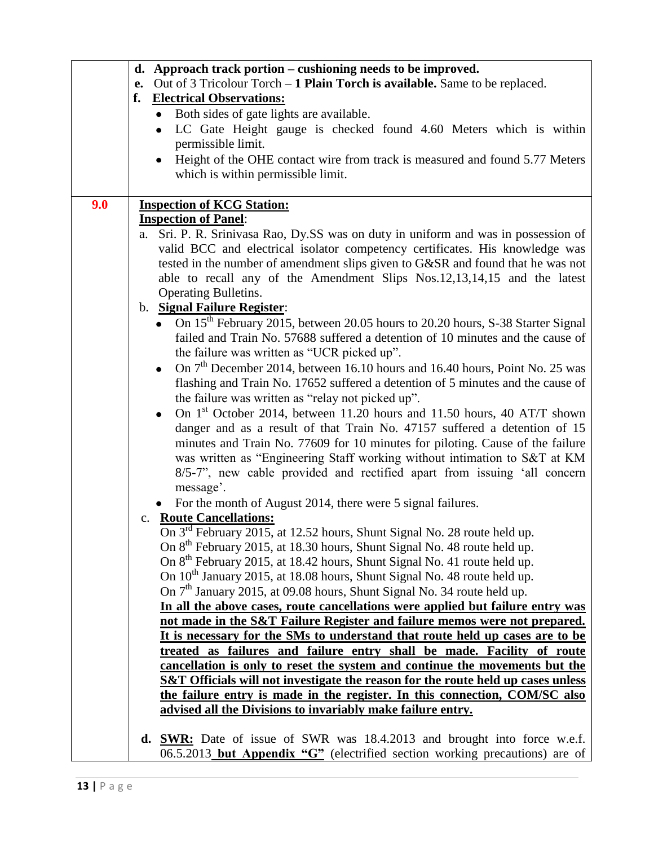|     | d. Approach track portion – cushioning needs to be improved.                                                                                               |
|-----|------------------------------------------------------------------------------------------------------------------------------------------------------------|
|     | e. Out of 3 Tricolour Torch $-1$ Plain Torch is available. Same to be replaced.                                                                            |
|     | f.<br><b>Electrical Observations:</b>                                                                                                                      |
|     | Both sides of gate lights are available.<br>$\bullet$                                                                                                      |
|     | LC Gate Height gauge is checked found 4.60 Meters which is within<br>$\bullet$                                                                             |
|     | permissible limit.                                                                                                                                         |
|     | Height of the OHE contact wire from track is measured and found 5.77 Meters<br>$\bullet$                                                                   |
|     | which is within permissible limit.                                                                                                                         |
|     |                                                                                                                                                            |
| 9.0 | <b>Inspection of KCG Station:</b>                                                                                                                          |
|     | <b>Inspection of Panel:</b>                                                                                                                                |
|     | a. Sri. P. R. Srinivasa Rao, Dy.SS was on duty in uniform and was in possession of                                                                         |
|     | valid BCC and electrical isolator competency certificates. His knowledge was                                                                               |
|     | tested in the number of amendment slips given to G&SR and found that he was not                                                                            |
|     | able to recall any of the Amendment Slips Nos.12,13,14,15 and the latest                                                                                   |
|     | <b>Operating Bulletins.</b>                                                                                                                                |
|     | b. Signal Failure Register:                                                                                                                                |
|     | • On 15 <sup>th</sup> February 2015, between 20.05 hours to 20.20 hours, S-38 Starter Signal                                                               |
|     | failed and Train No. 57688 suffered a detention of 10 minutes and the cause of                                                                             |
|     | the failure was written as "UCR picked up".                                                                                                                |
|     | On 7 <sup>th</sup> December 2014, between 16.10 hours and 16.40 hours, Point No. 25 was                                                                    |
|     | flashing and Train No. 17652 suffered a detention of 5 minutes and the cause of                                                                            |
|     | the failure was written as "relay not picked up".                                                                                                          |
|     |                                                                                                                                                            |
|     | On 1 <sup>st</sup> October 2014, between 11.20 hours and 11.50 hours, 40 AT/T shown                                                                        |
|     | danger and as a result of that Train No. 47157 suffered a detention of 15                                                                                  |
|     | minutes and Train No. 77609 for 10 minutes for piloting. Cause of the failure<br>was written as "Engineering Staff working without intimation to S&T at KM |
|     | 8/5-7", new cable provided and rectified apart from issuing 'all concern                                                                                   |
|     | message'.                                                                                                                                                  |
|     |                                                                                                                                                            |
|     | For the month of August 2014, there were 5 signal failures.                                                                                                |
|     | c. Route Cancellations:                                                                                                                                    |
|     | On $3^{rd}$ February 2015, at 12.52 hours, Shunt Signal No. 28 route held up.                                                                              |
|     | On 8 <sup>th</sup> February 2015, at 18.30 hours, Shunt Signal No. 48 route held up.                                                                       |
|     | On 8 <sup>th</sup> February 2015, at 18.42 hours, Shunt Signal No. 41 route held up.                                                                       |
|     | On 10 <sup>th</sup> January 2015, at 18.08 hours, Shunt Signal No. 48 route held up.                                                                       |
|     | On $7th$ January 2015, at 09.08 hours, Shunt Signal No. 34 route held up.                                                                                  |
|     | In all the above cases, route cancellations were applied but failure entry was                                                                             |
|     | not made in the S&T Failure Register and failure memos were not prepared.<br>It is necessary for the SMs to understand that route held up cases are to be  |
|     | treated as failures and failure entry shall be made. Facility of route                                                                                     |
|     | cancellation is only to reset the system and continue the movements but the                                                                                |
|     | S&T Officials will not investigate the reason for the route held up cases unless                                                                           |
|     | the failure entry is made in the register. In this connection, COM/SC also                                                                                 |
|     | advised all the Divisions to invariably make failure entry.                                                                                                |
|     |                                                                                                                                                            |
|     | <b>d. SWR:</b> Date of issue of SWR was 18.4.2013 and brought into force w.e.f.                                                                            |
|     | 06.5.2013 but Appendix "G" (electrified section working precautions) are of                                                                                |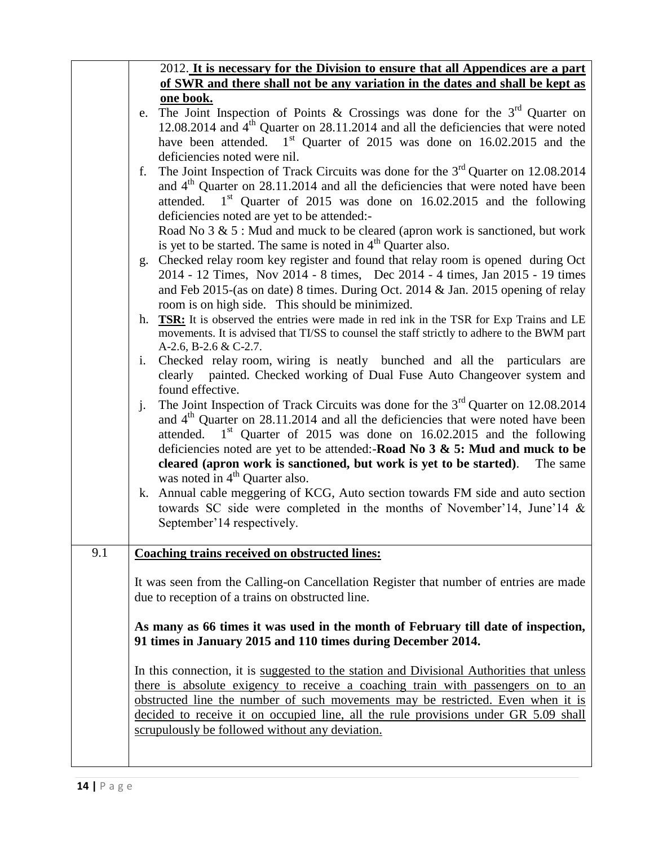|     | 2012. It is necessary for the Division to ensure that all Appendices are a part             |
|-----|---------------------------------------------------------------------------------------------|
|     | of SWR and there shall not be any variation in the dates and shall be kept as               |
|     | one book.                                                                                   |
|     | e. The Joint Inspection of Points & Crossings was done for the $3rd$ Quarter on             |
|     | 12.08.2014 and $4th$ Quarter on 28.11.2014 and all the deficiencies that were noted         |
|     | have been attended. 1 <sup>st</sup> Quarter of 2015 was done on 16.02.2015 and the          |
|     | deficiencies noted were nil.                                                                |
|     | The Joint Inspection of Track Circuits was done for the $3rd$ Quarter on 12.08.2014<br>f.   |
|     | and $4th$ Quarter on 28.11.2014 and all the deficiencies that were noted have been          |
|     | attended. $1st$ Quarter of 2015 was done on 16.02.2015 and the following                    |
|     | deficiencies noted are yet to be attended:-                                                 |
|     | Road No $3 \& 5$ : Mud and muck to be cleared (apron work is sanctioned, but work           |
|     | is yet to be started. The same is noted in $4th$ Quarter also.                              |
|     |                                                                                             |
|     | g. Checked relay room key register and found that relay room is opened during Oct           |
|     | 2014 - 12 Times, Nov 2014 - 8 times, Dec 2014 - 4 times, Jan 2015 - 19 times                |
|     | and Feb 2015-(as on date) 8 times. During Oct. 2014 & Jan. 2015 opening of relay            |
|     | room is on high side. This should be minimized.                                             |
|     | h. TSR: It is observed the entries were made in red ink in the TSR for Exp Trains and LE    |
|     | movements. It is advised that TI/SS to counsel the staff strictly to adhere to the BWM part |
|     | A-2.6, B-2.6 & C-2.7.                                                                       |
|     | Checked relay room, wiring is neatly bunched and all the particulars are<br>i.              |
|     | clearly painted. Checked working of Dual Fuse Auto Changeover system and                    |
|     | found effective.                                                                            |
|     | The Joint Inspection of Track Circuits was done for the $3rd$ Quarter on 12.08.2014<br>j.   |
|     | and $4th$ Quarter on 28.11.2014 and all the deficiencies that were noted have been          |
|     | attended. $1st$ Quarter of 2015 was done on 16.02.2015 and the following                    |
|     | deficiencies noted are yet to be attended:-Road No $3 \& 5$ : Mud and muck to be            |
|     | cleared (apron work is sanctioned, but work is yet to be started). The same                 |
|     | was noted in 4 <sup>th</sup> Quarter also.                                                  |
|     | k. Annual cable meggering of KCG, Auto section towards FM side and auto section             |
|     | towards SC side were completed in the months of November'14, June'14 &                      |
|     | September'14 respectively.                                                                  |
|     |                                                                                             |
| 9.1 | <b>Coaching trains received on obstructed lines:</b>                                        |
|     |                                                                                             |
|     | It was seen from the Calling-on Cancellation Register that number of entries are made       |
|     | due to reception of a trains on obstructed line.                                            |
|     |                                                                                             |
|     | As many as 66 times it was used in the month of February till date of inspection,           |
|     | 91 times in January 2015 and 110 times during December 2014.                                |
|     |                                                                                             |
|     | In this connection, it is suggested to the station and Divisional Authorities that unless   |
|     | there is absolute exigency to receive a coaching train with passengers on to an             |
|     | obstructed line the number of such movements may be restricted. Even when it is             |
|     | decided to receive it on occupied line, all the rule provisions under GR 5.09 shall         |
|     | scrupulously be followed without any deviation.                                             |
|     |                                                                                             |
|     |                                                                                             |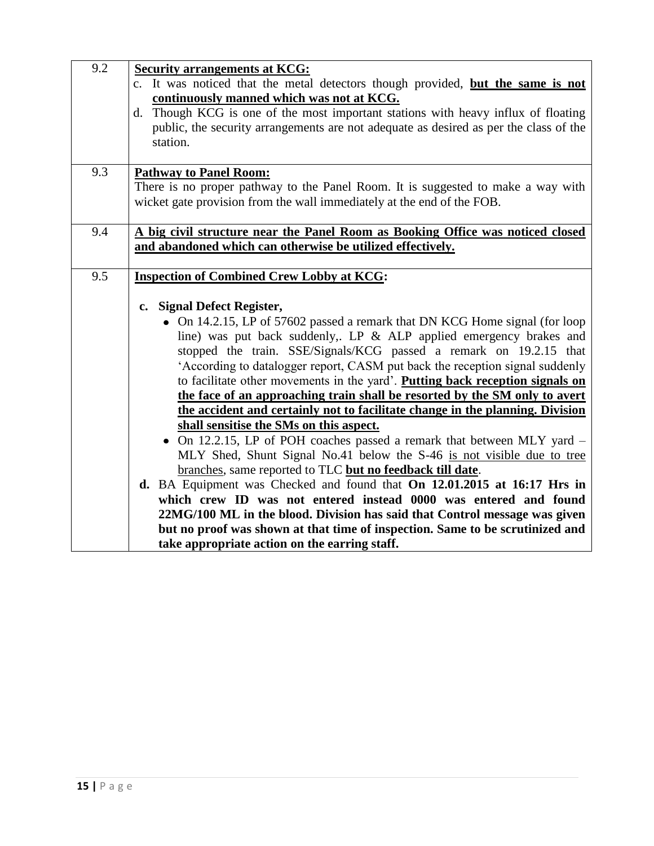| 9.2 | <b>Security arrangements at KCG:</b>                                                  |
|-----|---------------------------------------------------------------------------------------|
|     | c. It was noticed that the metal detectors though provided, but the same is not       |
|     | continuously manned which was not at KCG.                                             |
|     | d. Though KCG is one of the most important stations with heavy influx of floating     |
|     | public, the security arrangements are not adequate as desired as per the class of the |
|     | station.                                                                              |
|     |                                                                                       |
| 9.3 | <b>Pathway to Panel Room:</b>                                                         |
|     | There is no proper pathway to the Panel Room. It is suggested to make a way with      |
|     | wicket gate provision from the wall immediately at the end of the FOB.                |
|     |                                                                                       |
| 9.4 | A big civil structure near the Panel Room as Booking Office was noticed closed        |
|     | and abandoned which can otherwise be utilized effectively.                            |
| 9.5 | <b>Inspection of Combined Crew Lobby at KCG:</b>                                      |
|     |                                                                                       |
|     | c. Signal Defect Register,                                                            |
|     | • On 14.2.15, LP of 57602 passed a remark that DN KCG Home signal (for loop           |
|     | line) was put back suddenly,. LP & ALP applied emergency brakes and                   |
|     | stopped the train. SSE/Signals/KCG passed a remark on 19.2.15 that                    |
|     | 'According to datalogger report, CASM put back the reception signal suddenly          |
|     | to facilitate other movements in the yard'. Putting back reception signals on         |
|     | the face of an approaching train shall be resorted by the SM only to avert            |
|     | the accident and certainly not to facilitate change in the planning. Division         |
|     | shall sensitise the SMs on this aspect.                                               |
|     | • On 12.2.15, LP of POH coaches passed a remark that between MLY yard -               |
|     | MLY Shed, Shunt Signal No.41 below the S-46 is not visible due to tree                |
|     | branches, same reported to TLC but no feedback till date.                             |
|     | d. BA Equipment was Checked and found that On 12.01.2015 at 16:17 Hrs in              |
|     | which crew ID was not entered instead 0000 was entered and found                      |
|     | 22MG/100 ML in the blood. Division has said that Control message was given            |
|     | but no proof was shown at that time of inspection. Same to be scrutinized and         |
|     | take appropriate action on the earring staff.                                         |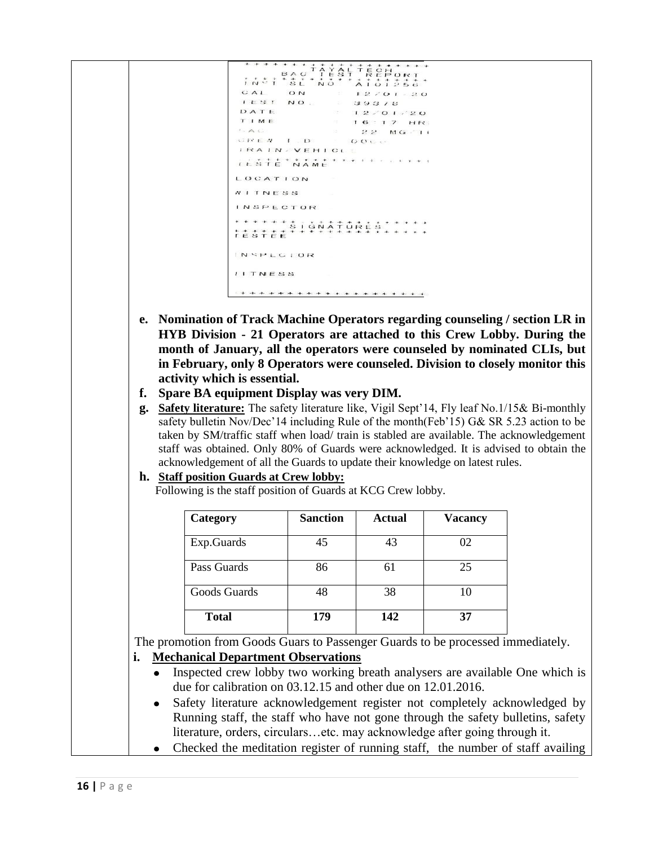$CAL$  $IEST$ NO.  $39378$ <br> $12/01/20$ DATE TIME  $16:17.HR$  $A$  $2.2 - M G \leq 1.1$ GREN I.D. DOCC **IRAIN VEHICLE** TESTE NAME LOCATION WITNESS **INSPECTOR** INSPECIOR **IITNESS** 

- **e. Nomination of Track Machine Operators regarding counseling / section LR in HYB Division - 21 Operators are attached to this Crew Lobby. During the month of January, all the operators were counseled by nominated CLIs, but in February, only 8 Operators were counseled. Division to closely monitor this activity which is essential.**
- **f. Spare BA equipment Display was very DIM.**

**g. Safety literature:** The safety literature like, Vigil Sept'14, Fly leaf No.1/15& Bi-monthly safety bulletin Nov/Dec'14 including Rule of the month(Feb'15) G& SR 5.23 action to be taken by SM/traffic staff when load/ train is stabled are available. The acknowledgement staff was obtained. Only 80% of Guards were acknowledged. It is advised to obtain the acknowledgement of all the Guards to update their knowledge on latest rules.

#### **h. Staff position Guards at Crew lobby:**

Following is the staff position of Guards at KCG Crew lobby.

| Category     | <b>Sanction</b> | <b>Actual</b> | <b>Vacancy</b> |
|--------------|-----------------|---------------|----------------|
| Exp.Guards   | 45              | 43            | 02             |
| Pass Guards  | 86              | 61            | 25             |
| Goods Guards | 48              | 38            | 10             |
| <b>Total</b> | 179             | 142           | 37             |

The promotion from Goods Guars to Passenger Guards to be processed immediately.

### **i. Mechanical Department Observations**

- Inspected crew lobby two working breath analysers are available One which is  $\bullet$ due for calibration on 03.12.15 and other due on 12.01.2016.
- Safety literature acknowledgement register not completely acknowledged by  $\bullet$ Running staff, the staff who have not gone through the safety bulletins, safety literature, orders, circulars…etc. may acknowledge after going through it.
- Checked the meditation register of running staff, the number of staff availing  $\bullet$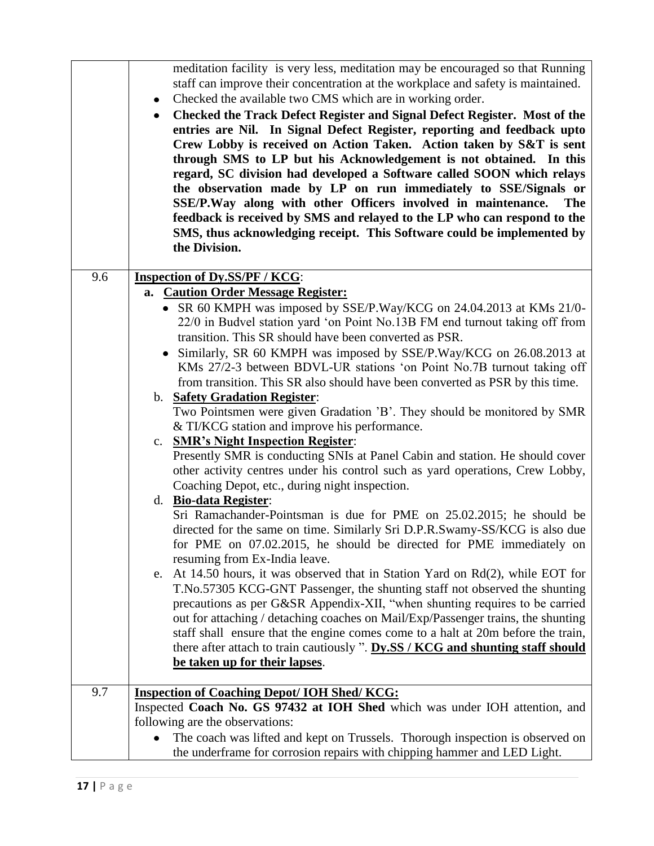| meditation facility is very less, meditation may be encouraged so that Running<br>staff can improve their concentration at the workplace and safety is maintained.<br>Checked the available two CMS which are in working order.<br>٠<br>Checked the Track Defect Register and Signal Defect Register. Most of the<br>$\bullet$<br>entries are Nil. In Signal Defect Register, reporting and feedback upto<br>Crew Lobby is received on Action Taken. Action taken by S&T is sent<br>through SMS to LP but his Acknowledgement is not obtained. In this<br>regard, SC division had developed a Software called SOON which relays<br>the observation made by LP on run immediately to SSE/Signals or<br>SSE/P.Way along with other Officers involved in maintenance.<br><b>The</b><br>feedback is received by SMS and relayed to the LP who can respond to the<br>SMS, thus acknowledging receipt. This Software could be implemented by<br>the Division.<br>9.6<br><b>Inspection of Dy.SS/PF / KCG:</b><br>a. Caution Order Message Register:<br>• SR 60 KMPH was imposed by SSE/P.Way/KCG on 24.04.2013 at KMs 21/0-<br>22/0 in Budvel station yard 'on Point No.13B FM end turnout taking off from<br>transition. This SR should have been converted as PSR.<br>• Similarly, SR 60 KMPH was imposed by SSE/P.Way/KCG on 26.08.2013 at<br>KMs 27/2-3 between BDVL-UR stations 'on Point No.7B turnout taking off<br>from transition. This SR also should have been converted as PSR by this time.<br>b. Safety Gradation Register:<br>Two Pointsmen were given Gradation 'B'. They should be monitored by SMR<br>& TI/KCG station and improve his performance.<br>c. SMR's Night Inspection Register:<br>Presently SMR is conducting SNIs at Panel Cabin and station. He should cover<br>other activity centres under his control such as yard operations, Crew Lobby,<br>Coaching Depot, etc., during night inspection.<br>d. Bio-data Register:<br>Sri Ramachander-Pointsman is due for PME on 25.02.2015; he should be<br>directed for the same on time. Similarly Sri D.P.R.Swamy-SS/KCG is also due<br>for PME on 07.02.2015, he should be directed for PME immediately on<br>resuming from Ex-India leave.<br>e. At 14.50 hours, it was observed that in Station Yard on $Rd(2)$ , while EOT for<br>T.No.57305 KCG-GNT Passenger, the shunting staff not observed the shunting<br>precautions as per G&SR Appendix-XII, "when shunting requires to be carried<br>out for attaching / detaching coaches on Mail/Exp/Passenger trains, the shunting<br>staff shall ensure that the engine comes come to a halt at 20m before the train,<br>there after attach to train cautiously ". Dy.SS / KCG and shunting staff should<br>be taken up for their lapses.<br>9.7<br><b>Inspection of Coaching Depot/ IOH Shed/ KCG:</b><br>Inspected Coach No. GS 97432 at IOH Shed which was under IOH attention, and<br>following are the observations:<br>The coach was lifted and kept on Trussels. Thorough inspection is observed on<br>the underframe for corrosion repairs with chipping hammer and LED Light. |  |
|--------------------------------------------------------------------------------------------------------------------------------------------------------------------------------------------------------------------------------------------------------------------------------------------------------------------------------------------------------------------------------------------------------------------------------------------------------------------------------------------------------------------------------------------------------------------------------------------------------------------------------------------------------------------------------------------------------------------------------------------------------------------------------------------------------------------------------------------------------------------------------------------------------------------------------------------------------------------------------------------------------------------------------------------------------------------------------------------------------------------------------------------------------------------------------------------------------------------------------------------------------------------------------------------------------------------------------------------------------------------------------------------------------------------------------------------------------------------------------------------------------------------------------------------------------------------------------------------------------------------------------------------------------------------------------------------------------------------------------------------------------------------------------------------------------------------------------------------------------------------------------------------------------------------------------------------------------------------------------------------------------------------------------------------------------------------------------------------------------------------------------------------------------------------------------------------------------------------------------------------------------------------------------------------------------------------------------------------------------------------------------------------------------------------------------------------------------------------------------------------------------------------------------------------------------------------------------------------------------------------------------------------------------------------------------------------------------------------------------------------------------------------------------------------------------------------------------------------------------------------------------------------------------------------------------------------------------------------------------------------------------------------------------------------------------------------------------------------------------------|--|
|                                                                                                                                                                                                                                                                                                                                                                                                                                                                                                                                                                                                                                                                                                                                                                                                                                                                                                                                                                                                                                                                                                                                                                                                                                                                                                                                                                                                                                                                                                                                                                                                                                                                                                                                                                                                                                                                                                                                                                                                                                                                                                                                                                                                                                                                                                                                                                                                                                                                                                                                                                                                                                                                                                                                                                                                                                                                                                                                                                                                                                                                                                              |  |
|                                                                                                                                                                                                                                                                                                                                                                                                                                                                                                                                                                                                                                                                                                                                                                                                                                                                                                                                                                                                                                                                                                                                                                                                                                                                                                                                                                                                                                                                                                                                                                                                                                                                                                                                                                                                                                                                                                                                                                                                                                                                                                                                                                                                                                                                                                                                                                                                                                                                                                                                                                                                                                                                                                                                                                                                                                                                                                                                                                                                                                                                                                              |  |
|                                                                                                                                                                                                                                                                                                                                                                                                                                                                                                                                                                                                                                                                                                                                                                                                                                                                                                                                                                                                                                                                                                                                                                                                                                                                                                                                                                                                                                                                                                                                                                                                                                                                                                                                                                                                                                                                                                                                                                                                                                                                                                                                                                                                                                                                                                                                                                                                                                                                                                                                                                                                                                                                                                                                                                                                                                                                                                                                                                                                                                                                                                              |  |
|                                                                                                                                                                                                                                                                                                                                                                                                                                                                                                                                                                                                                                                                                                                                                                                                                                                                                                                                                                                                                                                                                                                                                                                                                                                                                                                                                                                                                                                                                                                                                                                                                                                                                                                                                                                                                                                                                                                                                                                                                                                                                                                                                                                                                                                                                                                                                                                                                                                                                                                                                                                                                                                                                                                                                                                                                                                                                                                                                                                                                                                                                                              |  |
|                                                                                                                                                                                                                                                                                                                                                                                                                                                                                                                                                                                                                                                                                                                                                                                                                                                                                                                                                                                                                                                                                                                                                                                                                                                                                                                                                                                                                                                                                                                                                                                                                                                                                                                                                                                                                                                                                                                                                                                                                                                                                                                                                                                                                                                                                                                                                                                                                                                                                                                                                                                                                                                                                                                                                                                                                                                                                                                                                                                                                                                                                                              |  |
|                                                                                                                                                                                                                                                                                                                                                                                                                                                                                                                                                                                                                                                                                                                                                                                                                                                                                                                                                                                                                                                                                                                                                                                                                                                                                                                                                                                                                                                                                                                                                                                                                                                                                                                                                                                                                                                                                                                                                                                                                                                                                                                                                                                                                                                                                                                                                                                                                                                                                                                                                                                                                                                                                                                                                                                                                                                                                                                                                                                                                                                                                                              |  |
|                                                                                                                                                                                                                                                                                                                                                                                                                                                                                                                                                                                                                                                                                                                                                                                                                                                                                                                                                                                                                                                                                                                                                                                                                                                                                                                                                                                                                                                                                                                                                                                                                                                                                                                                                                                                                                                                                                                                                                                                                                                                                                                                                                                                                                                                                                                                                                                                                                                                                                                                                                                                                                                                                                                                                                                                                                                                                                                                                                                                                                                                                                              |  |
|                                                                                                                                                                                                                                                                                                                                                                                                                                                                                                                                                                                                                                                                                                                                                                                                                                                                                                                                                                                                                                                                                                                                                                                                                                                                                                                                                                                                                                                                                                                                                                                                                                                                                                                                                                                                                                                                                                                                                                                                                                                                                                                                                                                                                                                                                                                                                                                                                                                                                                                                                                                                                                                                                                                                                                                                                                                                                                                                                                                                                                                                                                              |  |
|                                                                                                                                                                                                                                                                                                                                                                                                                                                                                                                                                                                                                                                                                                                                                                                                                                                                                                                                                                                                                                                                                                                                                                                                                                                                                                                                                                                                                                                                                                                                                                                                                                                                                                                                                                                                                                                                                                                                                                                                                                                                                                                                                                                                                                                                                                                                                                                                                                                                                                                                                                                                                                                                                                                                                                                                                                                                                                                                                                                                                                                                                                              |  |
|                                                                                                                                                                                                                                                                                                                                                                                                                                                                                                                                                                                                                                                                                                                                                                                                                                                                                                                                                                                                                                                                                                                                                                                                                                                                                                                                                                                                                                                                                                                                                                                                                                                                                                                                                                                                                                                                                                                                                                                                                                                                                                                                                                                                                                                                                                                                                                                                                                                                                                                                                                                                                                                                                                                                                                                                                                                                                                                                                                                                                                                                                                              |  |
|                                                                                                                                                                                                                                                                                                                                                                                                                                                                                                                                                                                                                                                                                                                                                                                                                                                                                                                                                                                                                                                                                                                                                                                                                                                                                                                                                                                                                                                                                                                                                                                                                                                                                                                                                                                                                                                                                                                                                                                                                                                                                                                                                                                                                                                                                                                                                                                                                                                                                                                                                                                                                                                                                                                                                                                                                                                                                                                                                                                                                                                                                                              |  |
|                                                                                                                                                                                                                                                                                                                                                                                                                                                                                                                                                                                                                                                                                                                                                                                                                                                                                                                                                                                                                                                                                                                                                                                                                                                                                                                                                                                                                                                                                                                                                                                                                                                                                                                                                                                                                                                                                                                                                                                                                                                                                                                                                                                                                                                                                                                                                                                                                                                                                                                                                                                                                                                                                                                                                                                                                                                                                                                                                                                                                                                                                                              |  |
|                                                                                                                                                                                                                                                                                                                                                                                                                                                                                                                                                                                                                                                                                                                                                                                                                                                                                                                                                                                                                                                                                                                                                                                                                                                                                                                                                                                                                                                                                                                                                                                                                                                                                                                                                                                                                                                                                                                                                                                                                                                                                                                                                                                                                                                                                                                                                                                                                                                                                                                                                                                                                                                                                                                                                                                                                                                                                                                                                                                                                                                                                                              |  |
|                                                                                                                                                                                                                                                                                                                                                                                                                                                                                                                                                                                                                                                                                                                                                                                                                                                                                                                                                                                                                                                                                                                                                                                                                                                                                                                                                                                                                                                                                                                                                                                                                                                                                                                                                                                                                                                                                                                                                                                                                                                                                                                                                                                                                                                                                                                                                                                                                                                                                                                                                                                                                                                                                                                                                                                                                                                                                                                                                                                                                                                                                                              |  |
|                                                                                                                                                                                                                                                                                                                                                                                                                                                                                                                                                                                                                                                                                                                                                                                                                                                                                                                                                                                                                                                                                                                                                                                                                                                                                                                                                                                                                                                                                                                                                                                                                                                                                                                                                                                                                                                                                                                                                                                                                                                                                                                                                                                                                                                                                                                                                                                                                                                                                                                                                                                                                                                                                                                                                                                                                                                                                                                                                                                                                                                                                                              |  |
|                                                                                                                                                                                                                                                                                                                                                                                                                                                                                                                                                                                                                                                                                                                                                                                                                                                                                                                                                                                                                                                                                                                                                                                                                                                                                                                                                                                                                                                                                                                                                                                                                                                                                                                                                                                                                                                                                                                                                                                                                                                                                                                                                                                                                                                                                                                                                                                                                                                                                                                                                                                                                                                                                                                                                                                                                                                                                                                                                                                                                                                                                                              |  |
|                                                                                                                                                                                                                                                                                                                                                                                                                                                                                                                                                                                                                                                                                                                                                                                                                                                                                                                                                                                                                                                                                                                                                                                                                                                                                                                                                                                                                                                                                                                                                                                                                                                                                                                                                                                                                                                                                                                                                                                                                                                                                                                                                                                                                                                                                                                                                                                                                                                                                                                                                                                                                                                                                                                                                                                                                                                                                                                                                                                                                                                                                                              |  |
|                                                                                                                                                                                                                                                                                                                                                                                                                                                                                                                                                                                                                                                                                                                                                                                                                                                                                                                                                                                                                                                                                                                                                                                                                                                                                                                                                                                                                                                                                                                                                                                                                                                                                                                                                                                                                                                                                                                                                                                                                                                                                                                                                                                                                                                                                                                                                                                                                                                                                                                                                                                                                                                                                                                                                                                                                                                                                                                                                                                                                                                                                                              |  |
|                                                                                                                                                                                                                                                                                                                                                                                                                                                                                                                                                                                                                                                                                                                                                                                                                                                                                                                                                                                                                                                                                                                                                                                                                                                                                                                                                                                                                                                                                                                                                                                                                                                                                                                                                                                                                                                                                                                                                                                                                                                                                                                                                                                                                                                                                                                                                                                                                                                                                                                                                                                                                                                                                                                                                                                                                                                                                                                                                                                                                                                                                                              |  |
|                                                                                                                                                                                                                                                                                                                                                                                                                                                                                                                                                                                                                                                                                                                                                                                                                                                                                                                                                                                                                                                                                                                                                                                                                                                                                                                                                                                                                                                                                                                                                                                                                                                                                                                                                                                                                                                                                                                                                                                                                                                                                                                                                                                                                                                                                                                                                                                                                                                                                                                                                                                                                                                                                                                                                                                                                                                                                                                                                                                                                                                                                                              |  |
|                                                                                                                                                                                                                                                                                                                                                                                                                                                                                                                                                                                                                                                                                                                                                                                                                                                                                                                                                                                                                                                                                                                                                                                                                                                                                                                                                                                                                                                                                                                                                                                                                                                                                                                                                                                                                                                                                                                                                                                                                                                                                                                                                                                                                                                                                                                                                                                                                                                                                                                                                                                                                                                                                                                                                                                                                                                                                                                                                                                                                                                                                                              |  |
|                                                                                                                                                                                                                                                                                                                                                                                                                                                                                                                                                                                                                                                                                                                                                                                                                                                                                                                                                                                                                                                                                                                                                                                                                                                                                                                                                                                                                                                                                                                                                                                                                                                                                                                                                                                                                                                                                                                                                                                                                                                                                                                                                                                                                                                                                                                                                                                                                                                                                                                                                                                                                                                                                                                                                                                                                                                                                                                                                                                                                                                                                                              |  |
|                                                                                                                                                                                                                                                                                                                                                                                                                                                                                                                                                                                                                                                                                                                                                                                                                                                                                                                                                                                                                                                                                                                                                                                                                                                                                                                                                                                                                                                                                                                                                                                                                                                                                                                                                                                                                                                                                                                                                                                                                                                                                                                                                                                                                                                                                                                                                                                                                                                                                                                                                                                                                                                                                                                                                                                                                                                                                                                                                                                                                                                                                                              |  |
|                                                                                                                                                                                                                                                                                                                                                                                                                                                                                                                                                                                                                                                                                                                                                                                                                                                                                                                                                                                                                                                                                                                                                                                                                                                                                                                                                                                                                                                                                                                                                                                                                                                                                                                                                                                                                                                                                                                                                                                                                                                                                                                                                                                                                                                                                                                                                                                                                                                                                                                                                                                                                                                                                                                                                                                                                                                                                                                                                                                                                                                                                                              |  |
|                                                                                                                                                                                                                                                                                                                                                                                                                                                                                                                                                                                                                                                                                                                                                                                                                                                                                                                                                                                                                                                                                                                                                                                                                                                                                                                                                                                                                                                                                                                                                                                                                                                                                                                                                                                                                                                                                                                                                                                                                                                                                                                                                                                                                                                                                                                                                                                                                                                                                                                                                                                                                                                                                                                                                                                                                                                                                                                                                                                                                                                                                                              |  |
|                                                                                                                                                                                                                                                                                                                                                                                                                                                                                                                                                                                                                                                                                                                                                                                                                                                                                                                                                                                                                                                                                                                                                                                                                                                                                                                                                                                                                                                                                                                                                                                                                                                                                                                                                                                                                                                                                                                                                                                                                                                                                                                                                                                                                                                                                                                                                                                                                                                                                                                                                                                                                                                                                                                                                                                                                                                                                                                                                                                                                                                                                                              |  |
|                                                                                                                                                                                                                                                                                                                                                                                                                                                                                                                                                                                                                                                                                                                                                                                                                                                                                                                                                                                                                                                                                                                                                                                                                                                                                                                                                                                                                                                                                                                                                                                                                                                                                                                                                                                                                                                                                                                                                                                                                                                                                                                                                                                                                                                                                                                                                                                                                                                                                                                                                                                                                                                                                                                                                                                                                                                                                                                                                                                                                                                                                                              |  |
|                                                                                                                                                                                                                                                                                                                                                                                                                                                                                                                                                                                                                                                                                                                                                                                                                                                                                                                                                                                                                                                                                                                                                                                                                                                                                                                                                                                                                                                                                                                                                                                                                                                                                                                                                                                                                                                                                                                                                                                                                                                                                                                                                                                                                                                                                                                                                                                                                                                                                                                                                                                                                                                                                                                                                                                                                                                                                                                                                                                                                                                                                                              |  |
|                                                                                                                                                                                                                                                                                                                                                                                                                                                                                                                                                                                                                                                                                                                                                                                                                                                                                                                                                                                                                                                                                                                                                                                                                                                                                                                                                                                                                                                                                                                                                                                                                                                                                                                                                                                                                                                                                                                                                                                                                                                                                                                                                                                                                                                                                                                                                                                                                                                                                                                                                                                                                                                                                                                                                                                                                                                                                                                                                                                                                                                                                                              |  |
|                                                                                                                                                                                                                                                                                                                                                                                                                                                                                                                                                                                                                                                                                                                                                                                                                                                                                                                                                                                                                                                                                                                                                                                                                                                                                                                                                                                                                                                                                                                                                                                                                                                                                                                                                                                                                                                                                                                                                                                                                                                                                                                                                                                                                                                                                                                                                                                                                                                                                                                                                                                                                                                                                                                                                                                                                                                                                                                                                                                                                                                                                                              |  |
|                                                                                                                                                                                                                                                                                                                                                                                                                                                                                                                                                                                                                                                                                                                                                                                                                                                                                                                                                                                                                                                                                                                                                                                                                                                                                                                                                                                                                                                                                                                                                                                                                                                                                                                                                                                                                                                                                                                                                                                                                                                                                                                                                                                                                                                                                                                                                                                                                                                                                                                                                                                                                                                                                                                                                                                                                                                                                                                                                                                                                                                                                                              |  |
|                                                                                                                                                                                                                                                                                                                                                                                                                                                                                                                                                                                                                                                                                                                                                                                                                                                                                                                                                                                                                                                                                                                                                                                                                                                                                                                                                                                                                                                                                                                                                                                                                                                                                                                                                                                                                                                                                                                                                                                                                                                                                                                                                                                                                                                                                                                                                                                                                                                                                                                                                                                                                                                                                                                                                                                                                                                                                                                                                                                                                                                                                                              |  |
|                                                                                                                                                                                                                                                                                                                                                                                                                                                                                                                                                                                                                                                                                                                                                                                                                                                                                                                                                                                                                                                                                                                                                                                                                                                                                                                                                                                                                                                                                                                                                                                                                                                                                                                                                                                                                                                                                                                                                                                                                                                                                                                                                                                                                                                                                                                                                                                                                                                                                                                                                                                                                                                                                                                                                                                                                                                                                                                                                                                                                                                                                                              |  |
|                                                                                                                                                                                                                                                                                                                                                                                                                                                                                                                                                                                                                                                                                                                                                                                                                                                                                                                                                                                                                                                                                                                                                                                                                                                                                                                                                                                                                                                                                                                                                                                                                                                                                                                                                                                                                                                                                                                                                                                                                                                                                                                                                                                                                                                                                                                                                                                                                                                                                                                                                                                                                                                                                                                                                                                                                                                                                                                                                                                                                                                                                                              |  |
|                                                                                                                                                                                                                                                                                                                                                                                                                                                                                                                                                                                                                                                                                                                                                                                                                                                                                                                                                                                                                                                                                                                                                                                                                                                                                                                                                                                                                                                                                                                                                                                                                                                                                                                                                                                                                                                                                                                                                                                                                                                                                                                                                                                                                                                                                                                                                                                                                                                                                                                                                                                                                                                                                                                                                                                                                                                                                                                                                                                                                                                                                                              |  |
|                                                                                                                                                                                                                                                                                                                                                                                                                                                                                                                                                                                                                                                                                                                                                                                                                                                                                                                                                                                                                                                                                                                                                                                                                                                                                                                                                                                                                                                                                                                                                                                                                                                                                                                                                                                                                                                                                                                                                                                                                                                                                                                                                                                                                                                                                                                                                                                                                                                                                                                                                                                                                                                                                                                                                                                                                                                                                                                                                                                                                                                                                                              |  |
|                                                                                                                                                                                                                                                                                                                                                                                                                                                                                                                                                                                                                                                                                                                                                                                                                                                                                                                                                                                                                                                                                                                                                                                                                                                                                                                                                                                                                                                                                                                                                                                                                                                                                                                                                                                                                                                                                                                                                                                                                                                                                                                                                                                                                                                                                                                                                                                                                                                                                                                                                                                                                                                                                                                                                                                                                                                                                                                                                                                                                                                                                                              |  |
|                                                                                                                                                                                                                                                                                                                                                                                                                                                                                                                                                                                                                                                                                                                                                                                                                                                                                                                                                                                                                                                                                                                                                                                                                                                                                                                                                                                                                                                                                                                                                                                                                                                                                                                                                                                                                                                                                                                                                                                                                                                                                                                                                                                                                                                                                                                                                                                                                                                                                                                                                                                                                                                                                                                                                                                                                                                                                                                                                                                                                                                                                                              |  |
|                                                                                                                                                                                                                                                                                                                                                                                                                                                                                                                                                                                                                                                                                                                                                                                                                                                                                                                                                                                                                                                                                                                                                                                                                                                                                                                                                                                                                                                                                                                                                                                                                                                                                                                                                                                                                                                                                                                                                                                                                                                                                                                                                                                                                                                                                                                                                                                                                                                                                                                                                                                                                                                                                                                                                                                                                                                                                                                                                                                                                                                                                                              |  |
|                                                                                                                                                                                                                                                                                                                                                                                                                                                                                                                                                                                                                                                                                                                                                                                                                                                                                                                                                                                                                                                                                                                                                                                                                                                                                                                                                                                                                                                                                                                                                                                                                                                                                                                                                                                                                                                                                                                                                                                                                                                                                                                                                                                                                                                                                                                                                                                                                                                                                                                                                                                                                                                                                                                                                                                                                                                                                                                                                                                                                                                                                                              |  |
|                                                                                                                                                                                                                                                                                                                                                                                                                                                                                                                                                                                                                                                                                                                                                                                                                                                                                                                                                                                                                                                                                                                                                                                                                                                                                                                                                                                                                                                                                                                                                                                                                                                                                                                                                                                                                                                                                                                                                                                                                                                                                                                                                                                                                                                                                                                                                                                                                                                                                                                                                                                                                                                                                                                                                                                                                                                                                                                                                                                                                                                                                                              |  |
|                                                                                                                                                                                                                                                                                                                                                                                                                                                                                                                                                                                                                                                                                                                                                                                                                                                                                                                                                                                                                                                                                                                                                                                                                                                                                                                                                                                                                                                                                                                                                                                                                                                                                                                                                                                                                                                                                                                                                                                                                                                                                                                                                                                                                                                                                                                                                                                                                                                                                                                                                                                                                                                                                                                                                                                                                                                                                                                                                                                                                                                                                                              |  |
|                                                                                                                                                                                                                                                                                                                                                                                                                                                                                                                                                                                                                                                                                                                                                                                                                                                                                                                                                                                                                                                                                                                                                                                                                                                                                                                                                                                                                                                                                                                                                                                                                                                                                                                                                                                                                                                                                                                                                                                                                                                                                                                                                                                                                                                                                                                                                                                                                                                                                                                                                                                                                                                                                                                                                                                                                                                                                                                                                                                                                                                                                                              |  |
|                                                                                                                                                                                                                                                                                                                                                                                                                                                                                                                                                                                                                                                                                                                                                                                                                                                                                                                                                                                                                                                                                                                                                                                                                                                                                                                                                                                                                                                                                                                                                                                                                                                                                                                                                                                                                                                                                                                                                                                                                                                                                                                                                                                                                                                                                                                                                                                                                                                                                                                                                                                                                                                                                                                                                                                                                                                                                                                                                                                                                                                                                                              |  |
|                                                                                                                                                                                                                                                                                                                                                                                                                                                                                                                                                                                                                                                                                                                                                                                                                                                                                                                                                                                                                                                                                                                                                                                                                                                                                                                                                                                                                                                                                                                                                                                                                                                                                                                                                                                                                                                                                                                                                                                                                                                                                                                                                                                                                                                                                                                                                                                                                                                                                                                                                                                                                                                                                                                                                                                                                                                                                                                                                                                                                                                                                                              |  |
|                                                                                                                                                                                                                                                                                                                                                                                                                                                                                                                                                                                                                                                                                                                                                                                                                                                                                                                                                                                                                                                                                                                                                                                                                                                                                                                                                                                                                                                                                                                                                                                                                                                                                                                                                                                                                                                                                                                                                                                                                                                                                                                                                                                                                                                                                                                                                                                                                                                                                                                                                                                                                                                                                                                                                                                                                                                                                                                                                                                                                                                                                                              |  |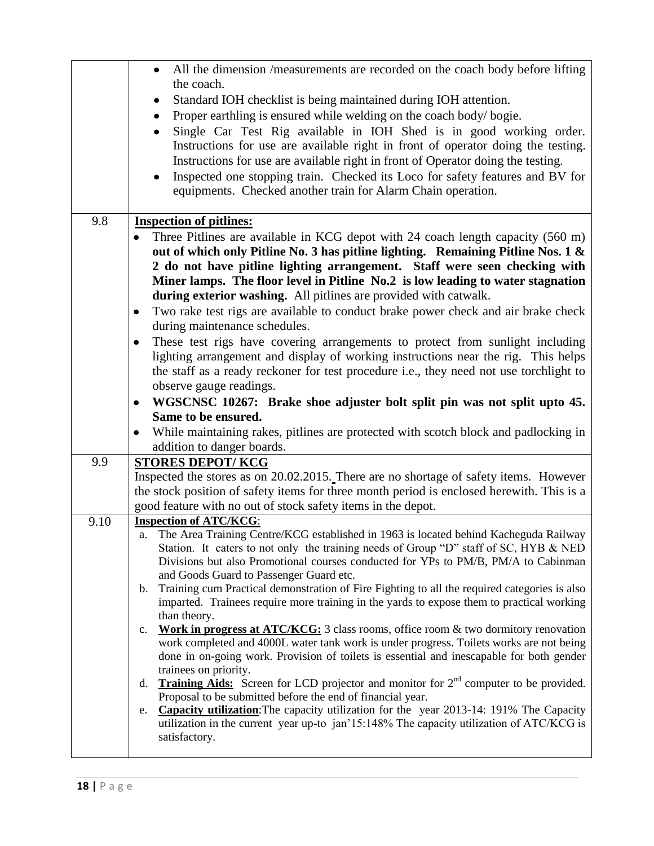|      | All the dimension /measurements are recorded on the coach body before lifting<br>$\bullet$<br>the coach.                                                                |
|------|-------------------------------------------------------------------------------------------------------------------------------------------------------------------------|
|      | Standard IOH checklist is being maintained during IOH attention.                                                                                                        |
|      | ٠<br>Proper earthling is ensured while welding on the coach body/bogie.                                                                                                 |
|      | ٠<br>Single Car Test Rig available in IOH Shed is in good working order.                                                                                                |
|      | Instructions for use are available right in front of operator doing the testing.                                                                                        |
|      | Instructions for use are available right in front of Operator doing the testing.                                                                                        |
|      | Inspected one stopping train. Checked its Loco for safety features and BV for                                                                                           |
|      | equipments. Checked another train for Alarm Chain operation.                                                                                                            |
|      |                                                                                                                                                                         |
| 9.8  | <b>Inspection of pitlines:</b>                                                                                                                                          |
|      | Three Pitlines are available in KCG depot with 24 coach length capacity (560 m)                                                                                         |
|      | out of which only Pitline No. 3 has pitline lighting. Remaining Pitline Nos. 1 &                                                                                        |
|      | 2 do not have pitline lighting arrangement. Staff were seen checking with                                                                                               |
|      | Miner lamps. The floor level in Pitline No.2 is low leading to water stagnation                                                                                         |
|      | during exterior washing. All pitlines are provided with catwalk.                                                                                                        |
|      | Two rake test rigs are available to conduct brake power check and air brake check<br>٠                                                                                  |
|      | during maintenance schedules.                                                                                                                                           |
|      | These test rigs have covering arrangements to protect from sunlight including<br>٠<br>lighting arrangement and display of working instructions near the rig. This helps |
|      | the staff as a ready reckoner for test procedure i.e., they need not use torchlight to                                                                                  |
|      | observe gauge readings.                                                                                                                                                 |
|      | WGSCNSC 10267: Brake shoe adjuster bolt split pin was not split upto 45.<br>$\bullet$                                                                                   |
|      | Same to be ensured.                                                                                                                                                     |
|      | While maintaining rakes, pitlines are protected with scotch block and padlocking in                                                                                     |
|      | addition to danger boards.                                                                                                                                              |
| 9.9  | <b>STORES DEPOT/KCG</b>                                                                                                                                                 |
|      | Inspected the stores as on 20.02.2015. There are no shortage of safety items. However                                                                                   |
|      | the stock position of safety items for three month period is enclosed herewith. This is a                                                                               |
|      | good feature with no out of stock safety items in the depot.                                                                                                            |
| 9.10 | <b>Inspection of ATC/KCG:</b><br>The Area Training Centre/KCG established in 1963 is located behind Kacheguda Railway                                                   |
|      | a.<br>Station. It caters to not only the training needs of Group "D" staff of SC, HYB & NED                                                                             |
|      | Divisions but also Promotional courses conducted for YPs to PM/B, PM/A to Cabinman                                                                                      |
|      | and Goods Guard to Passenger Guard etc.                                                                                                                                 |
|      | Training cum Practical demonstration of Fire Fighting to all the required categories is also<br>$\mathbf{b}$ .                                                          |
|      | imparted. Trainees require more training in the yards to expose them to practical working                                                                               |
|      | than theory.<br><b>Work in progress at ATC/KCG:</b> 3 class rooms, office room & two dormitory renovation<br>c.                                                         |
|      | work completed and 4000L water tank work is under progress. Toilets works are not being                                                                                 |
|      | done in on-going work. Provision of toilets is essential and inescapable for both gender                                                                                |
|      | trainees on priority.                                                                                                                                                   |
|      | <b>Training Aids:</b> Screen for LCD projector and monitor for $2nd$ computer to be provided.<br>d.                                                                     |
|      | Proposal to be submitted before the end of financial year.<br><b>Capacity utilization:</b> The capacity utilization for the year 2013-14: 191% The Capacity<br>e.       |
|      | utilization in the current year up-to jan'15:148% The capacity utilization of ATC/KCG is                                                                                |
|      | satisfactory.                                                                                                                                                           |
|      |                                                                                                                                                                         |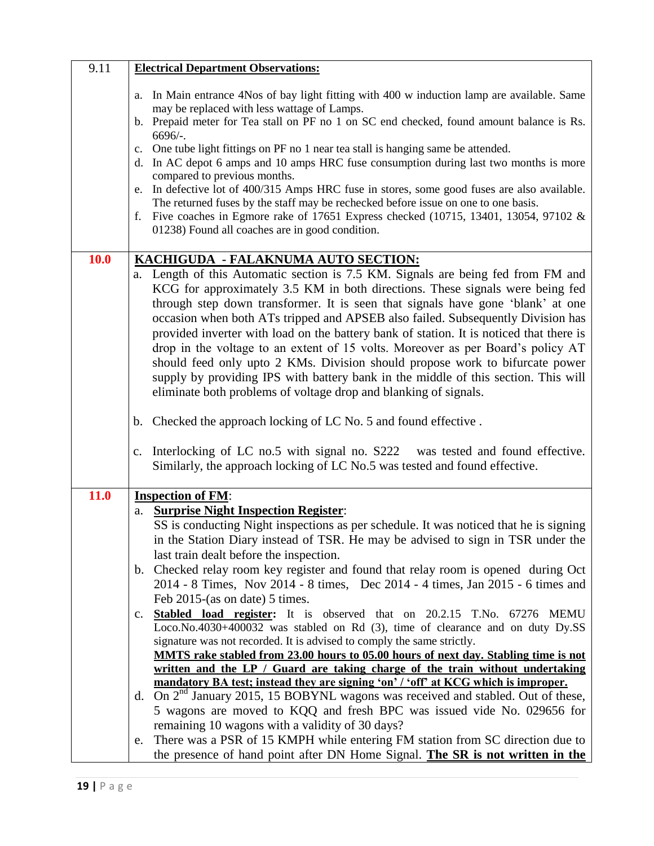| 9.11 | <b>Electrical Department Observations:</b>                                                                                                                                                                                                                                                                                                                                                                                                                                                                                                                                                                                                                                                                                                                                                               |
|------|----------------------------------------------------------------------------------------------------------------------------------------------------------------------------------------------------------------------------------------------------------------------------------------------------------------------------------------------------------------------------------------------------------------------------------------------------------------------------------------------------------------------------------------------------------------------------------------------------------------------------------------------------------------------------------------------------------------------------------------------------------------------------------------------------------|
|      | In Main entrance 4Nos of bay light fitting with 400 w induction lamp are available. Same<br>a.<br>may be replaced with less wattage of Lamps.<br>b. Prepaid meter for Tea stall on PF no 1 on SC end checked, found amount balance is Rs.<br>$6696/-.$<br>c. One tube light fittings on PF no 1 near tea stall is hanging same be attended.<br>d. In AC depot 6 amps and 10 amps HRC fuse consumption during last two months is more<br>compared to previous months.<br>e. In defective lot of 400/315 Amps HRC fuse in stores, some good fuses are also available.<br>The returned fuses by the staff may be rechecked before issue on one to one basis.<br>f. Five coaches in Egmore rake of 17651 Express checked (10715, 13401, 13054, 97102 $\&$<br>01238) Found all coaches are in good condition. |
| 10.0 | KACHIGUDA - FALAKNUMA AUTO SECTION:<br>a. Length of this Automatic section is 7.5 KM. Signals are being fed from FM and<br>KCG for approximately 3.5 KM in both directions. These signals were being fed<br>through step down transformer. It is seen that signals have gone 'blank' at one<br>occasion when both ATs tripped and APSEB also failed. Subsequently Division has<br>provided inverter with load on the battery bank of station. It is noticed that there is<br>drop in the voltage to an extent of 15 volts. Moreover as per Board's policy AT<br>should feed only upto 2 KMs. Division should propose work to bifurcate power<br>supply by providing IPS with battery bank in the middle of this section. This will<br>eliminate both problems of voltage drop and blanking of signals.   |
|      | b. Checked the approach locking of LC No. 5 and found effective.                                                                                                                                                                                                                                                                                                                                                                                                                                                                                                                                                                                                                                                                                                                                         |
|      | Interlocking of LC no.5 with signal no. S222 was tested and found effective.<br>c.<br>Similarly, the approach locking of LC No.5 was tested and found effective.                                                                                                                                                                                                                                                                                                                                                                                                                                                                                                                                                                                                                                         |
| 11.0 | <b>Inspection of FM:</b>                                                                                                                                                                                                                                                                                                                                                                                                                                                                                                                                                                                                                                                                                                                                                                                 |
|      | a. Surprise Night Inspection Register:<br>SS is conducting Night inspections as per schedule. It was noticed that he is signing                                                                                                                                                                                                                                                                                                                                                                                                                                                                                                                                                                                                                                                                          |
|      | in the Station Diary instead of TSR. He may be advised to sign in TSR under the<br>last train dealt before the inspection.                                                                                                                                                                                                                                                                                                                                                                                                                                                                                                                                                                                                                                                                               |
|      | b. Checked relay room key register and found that relay room is opened during Oct<br>2014 - 8 Times, Nov 2014 - 8 times, Dec 2014 - 4 times, Jan 2015 - 6 times and<br>Feb 2015-(as on date) 5 times.                                                                                                                                                                                                                                                                                                                                                                                                                                                                                                                                                                                                    |
|      | <b>Stabled load register:</b> It is observed that on 20.2.15 T.No. 67276 MEMU<br>$c_{\cdot}$<br>Loco.No.4030+400032 was stabled on Rd (3), time of clearance and on duty Dy.SS<br>signature was not recorded. It is advised to comply the same strictly.<br>MMTS rake stabled from 23.00 hours to 05.00 hours of next day. Stabling time is not<br>written and the LP / Guard are taking charge of the train without undertaking<br>mandatory BA test; instead they are signing 'on' / 'off' at KCG which is improper.<br>d. On $2^{nd}$ January 2015, 15 BOBYNL wagons was received and stabled. Out of these,<br>5 wagons are moved to KQQ and fresh BPC was issued vide No. 029656 for                                                                                                                |
|      | remaining 10 wagons with a validity of 30 days?<br>There was a PSR of 15 KMPH while entering FM station from SC direction due to<br>e.<br>the presence of hand point after DN Home Signal. The SR is not written in the                                                                                                                                                                                                                                                                                                                                                                                                                                                                                                                                                                                  |